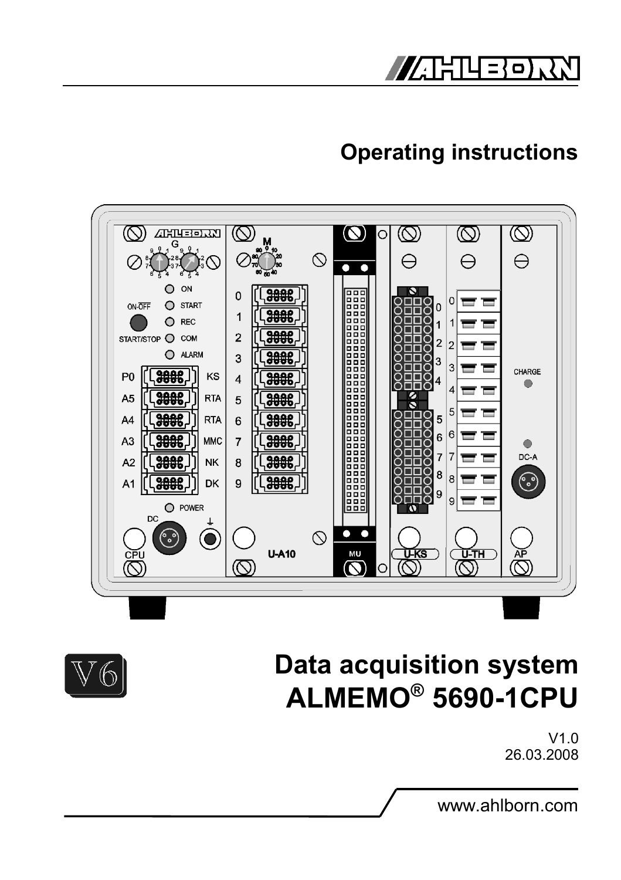

# **Operating instructions**



# **Data acquisition system ALMEMO® 5690-1CPU**



www.ahlborn.com

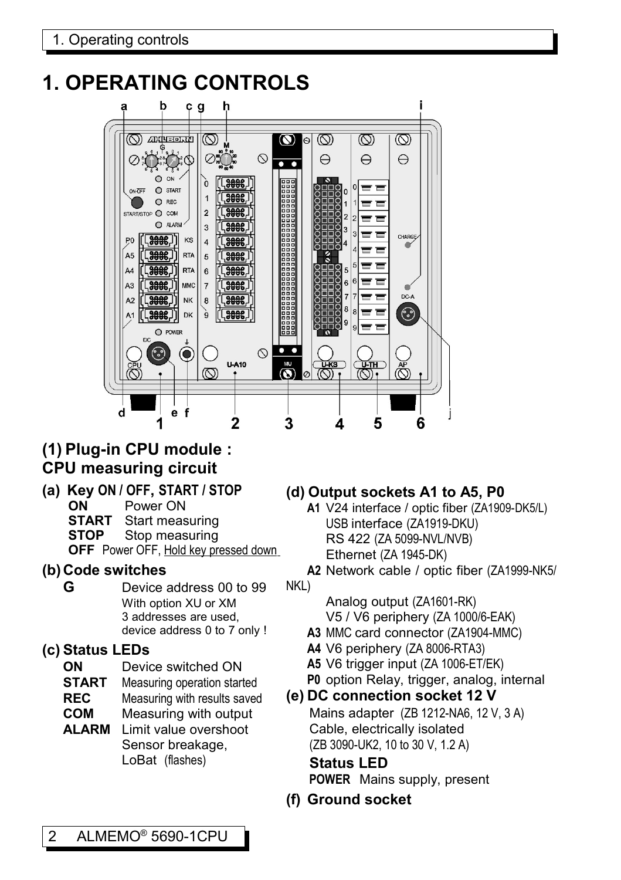# **1. OPERATING CONTROLS**

<span id="page-1-0"></span>

### **(1) Plug-in CPU module : CPU measuring circuit**

**(a) Key ON / OFF, START / STOP ON** Power ON **START** Start measuring **STOP** Stop measuring

**OFF** Power OFF, Hold key pressed down

- **(b) Code switches**
	- **G** Device address 00 to 99 With option XU or XM 3 addresses are used, device address 0 to 7 only !

### **(c) Status LEDs**

- **ON** Device switched ON
- **START** Measuring operation started
- **REC** Measuring with results saved
- **COM** Measuring with output
- **ALARM** Limit value overshoot Sensor breakage, LoBat (flashes)

### **(d) Output sockets A1 to A5, P0**

**A1** V24 interface / optic fiber (ZA1909-DK5/L) USB interface (ZA1919-DKU) RS 422 (ZA 5099-NVL/NVB) Ethernet (ZA 1945-DK)

**A2** Network cable / optic fiber (ZA1999-NK5/ NKL)

> Analog output (ZA1601-RK) V5 / V6 periphery (ZA 1000/6-EAK)

- **A3** MMC card connector (ZA1904-MMC)
- **A4** V6 periphery (ZA 8006-RTA3)
- **A5** V6 trigger input (ZA 1006-ET/EK)
- **P0** option Relay, trigger, analog, internal
- **(e) DC connection socket 12 V**

Mains adapter (ZB 1212-NA6, 12 V, 3 A) Cable, electrically isolated (ZB 3090-UK2, 10 to 30 V, 1.2 A)

**Status LED POWER** Mains supply, present

**(f) Ground socket**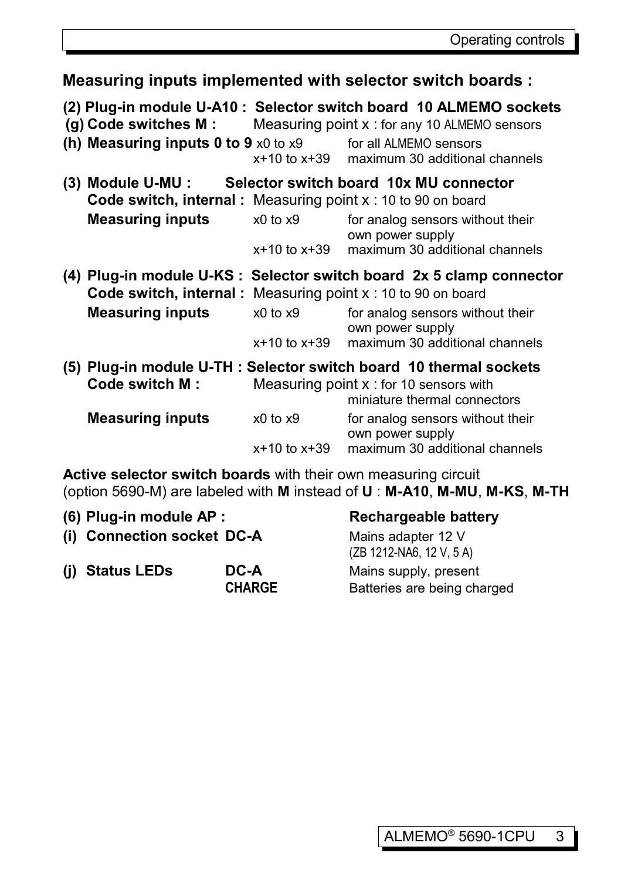**Measuring inputs implemented with selector switch boards : (2) Plug-in module U-A10 : Selector switch board 10 ALMEMO sockets (g) Code switches M :** Measuring point x : for any 10 ALMEMO sensors **(h) Measuring inputs 0 to 9** x0 to x9 for all ALMEMO sensors x+10 to x+39 maximum 30 additional channels **(3) Module U-MU : Selector switch board 10x MU connector Code switch, internal :** Measuring point x : 10 to 90 on board **Measuring inputs**  $x0$  to x9 for analog sensors without their own power supply x+10 to x+39 maximum 30 additional channels **(4) Plug-in module U-KS : Selector switch board 2x 5 clamp connector Code switch, internal :** Measuring point x : 10 to 90 on board **Measuring inputs**  $x0$  to x9 for analog sensors without their own power supply x+10 to x+39 maximum 30 additional channels **(5) Plug-in module U-TH : Selector switch board 10 thermal sockets Code switch M :** Measuring point x : for 10 sensors with miniature thermal connectors **Measuring inputs**  $x0$  to x9 for analog sensors without their own power supply x+10 to x+39 maximum 30 additional channels

**Active selector switch boards** with their own measuring circuit (option 5690-M) are labeled with **M** instead of **U** : **M-A10**, **M-MU**, **M-KS**, **M-TH**

| (6) Plug-in module AP :    |                       | <b>Rechargeable battery</b>                          |
|----------------------------|-----------------------|------------------------------------------------------|
| (i) Connection socket DC-A |                       | Mains adapter 12 V<br>(ZB 1212-NA6, 12 V, 5 A)       |
| (i) Status LEDs            | DC-A<br><b>CHARGE</b> | Mains supply, present<br>Batteries are being charged |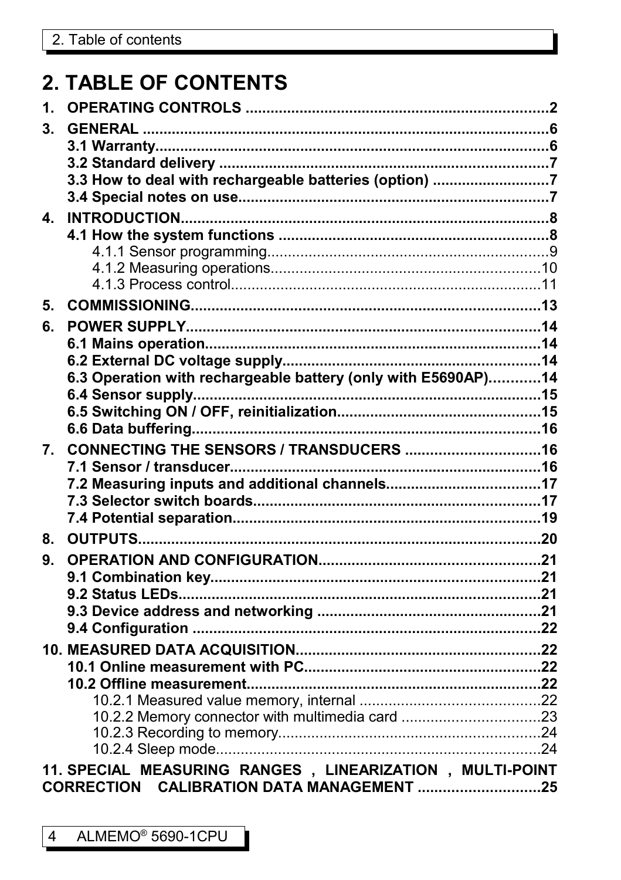# **2. TABLE OF CONTENTS**

| $\mathbf{1}$ . |                                                               |  |
|----------------|---------------------------------------------------------------|--|
| 3.             |                                                               |  |
|                |                                                               |  |
|                |                                                               |  |
|                | 3.3 How to deal with rechargeable batteries (option) 7        |  |
|                |                                                               |  |
| 4.             |                                                               |  |
|                |                                                               |  |
|                |                                                               |  |
|                |                                                               |  |
|                |                                                               |  |
| 5.             |                                                               |  |
| 6.             |                                                               |  |
|                |                                                               |  |
|                |                                                               |  |
|                | 6.3 Operation with rechargeable battery (only with E5690AP)14 |  |
|                |                                                               |  |
|                |                                                               |  |
|                |                                                               |  |
| 7.             |                                                               |  |
|                |                                                               |  |
|                |                                                               |  |
|                |                                                               |  |
|                |                                                               |  |
| 8.             |                                                               |  |
| 9.             |                                                               |  |
|                |                                                               |  |
|                |                                                               |  |
|                |                                                               |  |
|                |                                                               |  |
|                |                                                               |  |
|                |                                                               |  |
|                |                                                               |  |
|                |                                                               |  |
|                |                                                               |  |
|                |                                                               |  |
|                |                                                               |  |
|                | 11. SPECIAL MEASURING RANGES, LINEARIZATION, MULTI-POINT      |  |
|                | CORRECTION CALIBRATION DATA MANAGEMENT 25                     |  |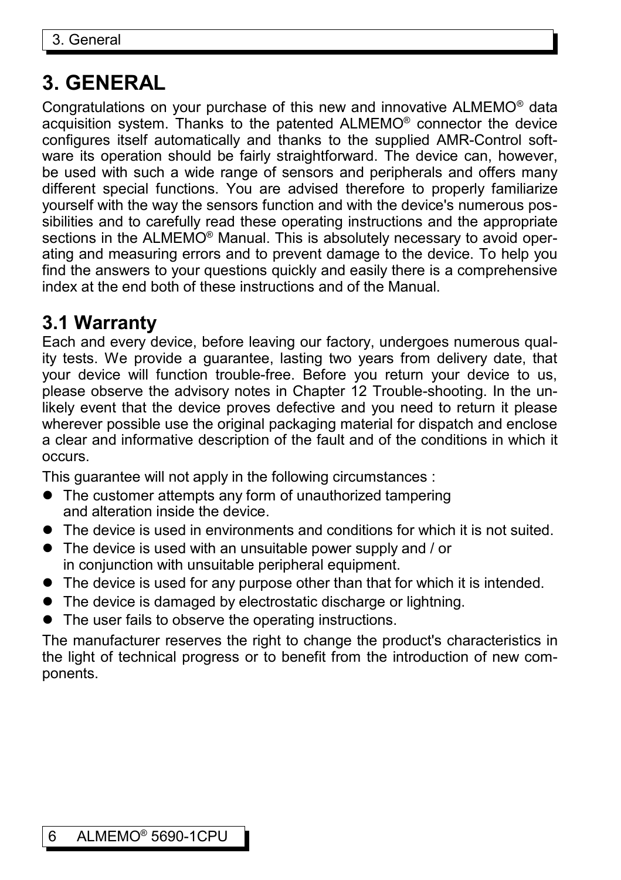# **3. GENERAL**

Congratulations on your purchase of this new and innovative ALMEMO® data acquisition system. Thanks to the patented ALMEMO® connector the device configures itself automatically and thanks to the supplied AMR-Control software its operation should be fairly straightforward. The device can, however, be used with such a wide range of sensors and peripherals and offers many different special functions. You are advised therefore to properly familiarize yourself with the way the sensors function and with the device's numerous possibilities and to carefully read these operating instructions and the appropriate sections in the ALMEMO® Manual. This is absolutely necessary to avoid operating and measuring errors and to prevent damage to the device. To help you find the answers to your questions quickly and easily there is a comprehensive index at the end both of these instructions and of the Manual.

### **3.1 Warranty**

Each and every device, before leaving our factory, undergoes numerous quality tests. We provide a guarantee, lasting two years from delivery date, that your device will function trouble-free. Before you return your device to us, please observe the advisory notes in Chapter [12](#page-25-0) Trouble-shooting. In the unlikely event that the device proves defective and you need to return it please wherever possible use the original packaging material for dispatch and enclose a clear and informative description of the fault and of the conditions in which it occurs.

This guarantee will not apply in the following circumstances :

- The customer attempts any form of unauthorized tampering and alteration inside the device.
- The device is used in environments and conditions for which it is not suited.
- The device is used with an unsuitable power supply and / or in conjunction with unsuitable peripheral equipment.
- The device is used for any purpose other than that for which it is intended.
- The device is damaged by electrostatic discharge or lightning.
- The user fails to observe the operating instructions.

The manufacturer reserves the right to change the product's characteristics in the light of technical progress or to benefit from the introduction of new components.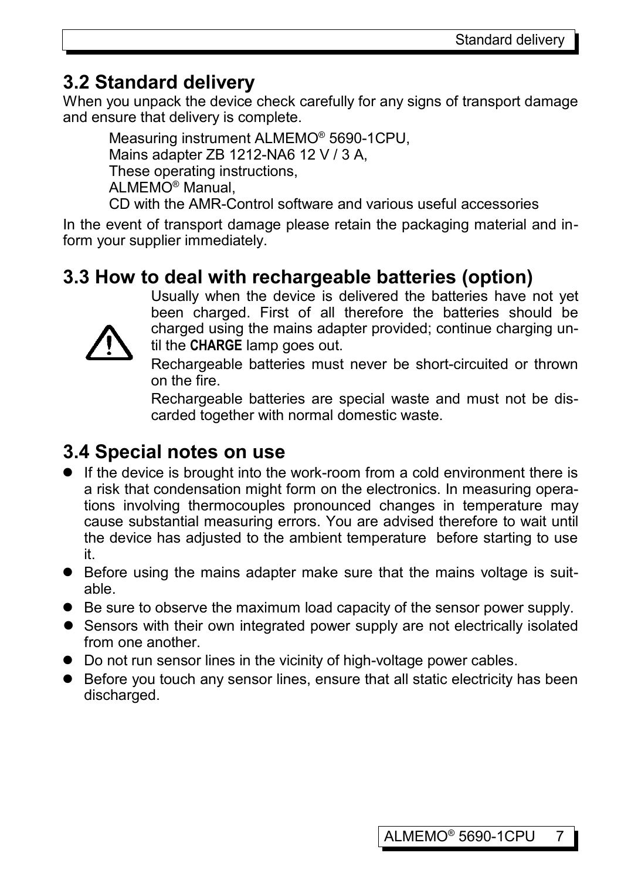# **3.2 Standard delivery**

When you unpack the device check carefully for any signs of transport damage and ensure that delivery is complete.

Measuring instrument ALMEMO® 5690-1CPU, Mains adapter ZB 1212-NA6 12 V / 3 A, These operating instructions, ALMEMO® Manual, CD with the AMR-Control software and various useful accessories

In the event of transport damage please retain the packaging material and inform your supplier immediately.

# **3.3 How to deal with rechargeable batteries (option)**



Usually when the device is delivered the batteries have not yet been charged. First of all therefore the batteries should be charged using the mains adapter provided; continue charging until the **CHARGE** lamp goes out.

Rechargeable batteries must never be short-circuited or thrown on the fire.

Rechargeable batteries are special waste and must not be discarded together with normal domestic waste.

# **3.4 Special notes on use**

- If the device is brought into the work-room from a cold environment there is a risk that condensation might form on the electronics. In measuring operations involving thermocouples pronounced changes in temperature may cause substantial measuring errors. You are advised therefore to wait until the device has adjusted to the ambient temperature before starting to use it.
- Before using the mains adapter make sure that the mains voltage is suitable.
- Be sure to observe the maximum load capacity of the sensor power supply.
- Sensors with their own integrated power supply are not electrically isolated from one another.
- Do not run sensor lines in the vicinity of high-voltage power cables.
- Before you touch any sensor lines, ensure that all static electricity has been discharged.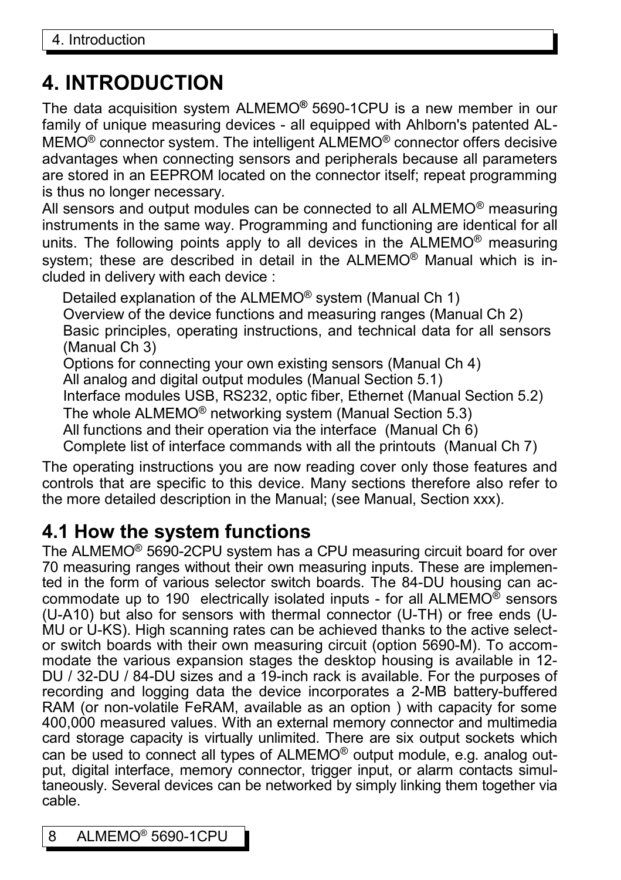# **4. INTRODUCTION**

The data acquisition system ALMEMO**®** 5690-1CPU is a new member in our family of unique measuring devices - all equipped with Ahlborn's patented AL-MEMO® connector system. The intelligent ALMEMO® connector offers decisive advantages when connecting sensors and peripherals because all parameters are stored in an EEPROM located on the connector itself; repeat programming is thus no longer necessary.

All sensors and output modules can be connected to all  $ALMEMO<sup>®</sup>$  measuring instruments in the same way. Programming and functioning are identical for all units. The following points apply to all devices in the ALMEMO® measuring system; these are described in detail in the ALMEMO<sup>®</sup> Manual which is included in delivery with each device :

Detailed explanation of the ALMEMO® system (Manual Ch 1) Overview of the device functions and measuring ranges (Manual Ch 2) Basic principles, operating instructions, and technical data for all sensors (Manual Ch 3) Options for connecting your own existing sensors (Manual Ch 4)

All analog and digital output modules (Manual Section 5.1)

Interface modules USB, RS232, optic fiber, Ethernet (Manual Section 5.2)

The whole ALMEMO® networking system (Manual Section 5.3)

All functions and their operation via the interface (Manual Ch 6)

Complete list of interface commands with all the printouts (Manual Ch 7)

The operating instructions you are now reading cover only those features and controls that are specific to this device. Many sections therefore also refer to the more detailed description in the Manual; (see Manual, Section xxx).

### **4.1 How the system functions**

The ALMEMO® 5690-2CPU system has a CPU measuring circuit board for over 70 measuring ranges without their own measuring inputs. These are implemented in the form of various selector switch boards. The 84-DU housing can accommodate up to 190 electrically isolated inputs - for all ALMEMO® sensors (U-A10) but also for sensors with thermal connector (U-TH) or free ends (U-MU or U-KS). High scanning rates can be achieved thanks to the active selector switch boards with their own measuring circuit (option 5690-M). To accommodate the various expansion stages the desktop housing is available in 12- DU / 32-DU / 84-DU sizes and a 19-inch rack is available. For the purposes of recording and logging data the device incorporates a 2-MB battery-buffered RAM (or non-volatile FeRAM, available as an option ) with capacity for some 400,000 measured values. With an external memory connector and multimedia card storage capacity is virtually unlimited. There are six output sockets which can be used to connect all types of ALMEMO® output module, e.g. analog output, digital interface, memory connector, trigger input, or alarm contacts simultaneously. Several devices can be networked by simply linking them together via cable.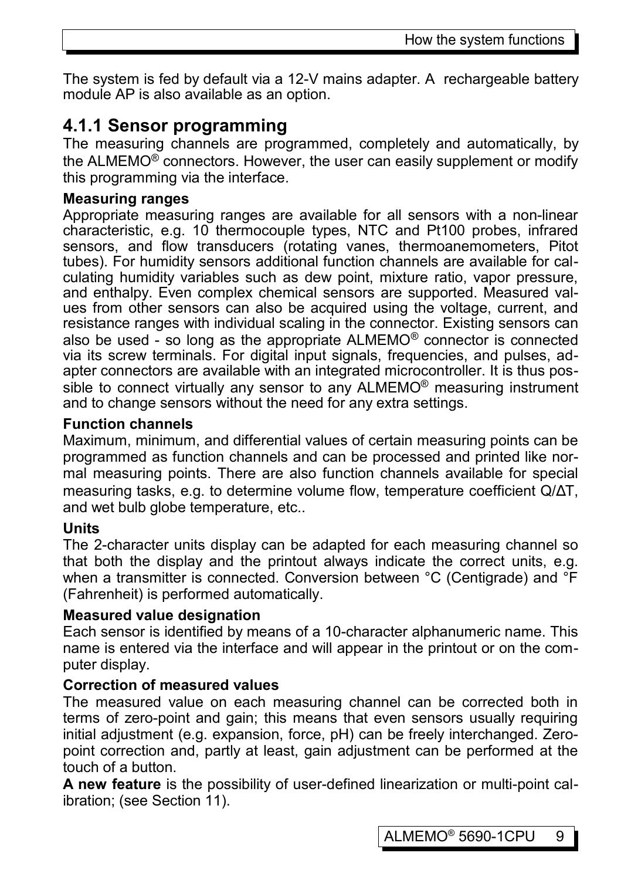The system is fed by default via a 12-V mains adapter. A rechargeable battery module AP is also available as an option.

### **4.1.1 Sensor programming**

The measuring channels are programmed, completely and automatically, by the ALMEMO® connectors. However, the user can easily supplement or modify this programming via the interface.

### **Measuring ranges**

Appropriate measuring ranges are available for all sensors with a non-linear characteristic, e.g. 10 thermocouple types, NTC and Pt100 probes, infrared sensors, and flow transducers (rotating vanes, thermoanemometers, Pitot tubes). For humidity sensors additional function channels are available for calculating humidity variables such as dew point, mixture ratio, vapor pressure, and enthalpy. Even complex chemical sensors are supported. Measured values from other sensors can also be acquired using the voltage, current, and resistance ranges with individual scaling in the connector. Existing sensors can also be used - so long as the appropriate ALMEMO® connector is connected via its screw terminals. For digital input signals, frequencies, and pulses, adapter connectors are available with an integrated microcontroller. It is thus possible to connect virtually any sensor to any ALMEMO® measuring instrument and to change sensors without the need for any extra settings.

### **Function channels**

Maximum, minimum, and differential values of certain measuring points can be programmed as function channels and can be processed and printed like normal measuring points. There are also function channels available for special measuring tasks, e.g. to determine volume flow, temperature coefficient Q/∆T, and wet bulb globe temperature, etc..

### **Units**

The 2-character units display can be adapted for each measuring channel so that both the display and the printout always indicate the correct units, e.g. when a transmitter is connected. Conversion between °C (Centigrade) and °F (Fahrenheit) is performed automatically.

### **Measured value designation**

Each sensor is identified by means of a 10-character alphanumeric name. This name is entered via the interface and will appear in the printout or on the computer display.

### **Correction of measured values**

The measured value on each measuring channel can be corrected both in terms of zero-point and gain; this means that even sensors usually requiring initial adjustment (e.g. expansion, force, pH) can be freely interchanged. Zeropoint correction and, partly at least, gain adjustment can be performed at the touch of a button.

**A new feature** is the possibility of user-defined linearization or multi-point calibration; (see Section [11\)](#page-24-0).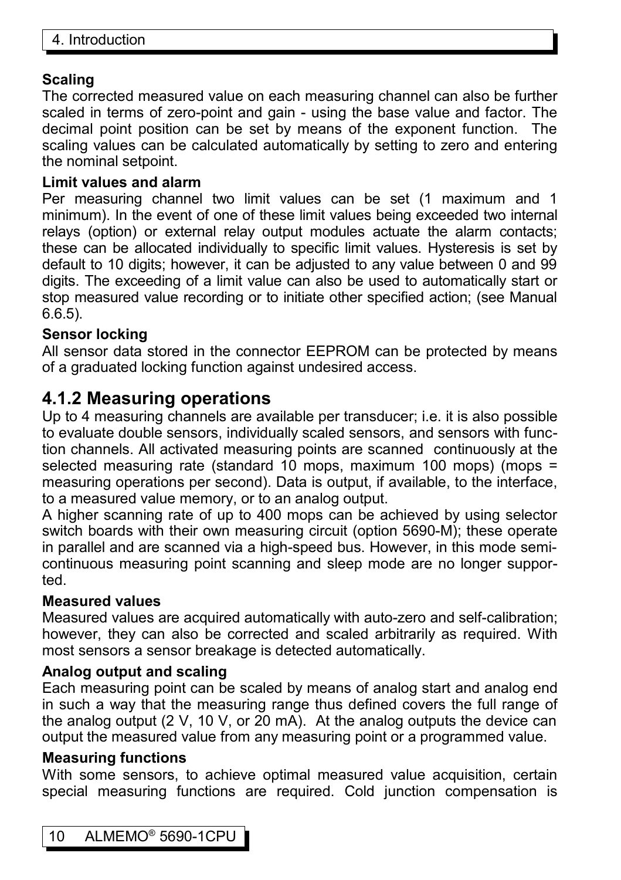### **Scaling**

The corrected measured value on each measuring channel can also be further scaled in terms of zero-point and gain - using the base value and factor. The decimal point position can be set by means of the exponent function. The scaling values can be calculated automatically by setting to zero and entering the nominal setpoint.

### **Limit values and alarm**

Per measuring channel two limit values can be set (1 maximum and 1 minimum). In the event of one of these limit values being exceeded two internal relays (option) or external relay output modules actuate the alarm contacts; these can be allocated individually to specific limit values. Hysteresis is set by default to 10 digits; however, it can be adjusted to any value between 0 and 99 digits. The exceeding of a limit value can also be used to automatically start or stop measured value recording or to initiate other specified action; (see Manual 6.6.5).

### **Sensor locking**

All sensor data stored in the connector EEPROM can be protected by means of a graduated locking function against undesired access.

### **4.1.2 Measuring operations**

Up to 4 measuring channels are available per transducer; i.e. it is also possible to evaluate double sensors, individually scaled sensors, and sensors with function channels. All activated measuring points are scanned continuously at the selected measuring rate (standard 10 mops, maximum 100 mops) (mops = measuring operations per second). Data is output, if available, to the interface, to a measured value memory, or to an analog output.

A higher scanning rate of up to 400 mops can be achieved by using selector switch boards with their own measuring circuit (option 5690-M); these operate in parallel and are scanned via a high-speed bus. However, in this mode semicontinuous measuring point scanning and sleep mode are no longer supported.

### **Measured values**

Measured values are acquired automatically with auto-zero and self-calibration; however, they can also be corrected and scaled arbitrarily as required. With most sensors a sensor breakage is detected automatically.

### **Analog output and scaling**

Each measuring point can be scaled by means of analog start and analog end in such a way that the measuring range thus defined covers the full range of the analog output (2 V, 10 V, or 20 mA). At the analog outputs the device can output the measured value from any measuring point or a programmed value.

### **Measuring functions**

With some sensors, to achieve optimal measured value acquisition, certain special measuring functions are required. Cold junction compensation is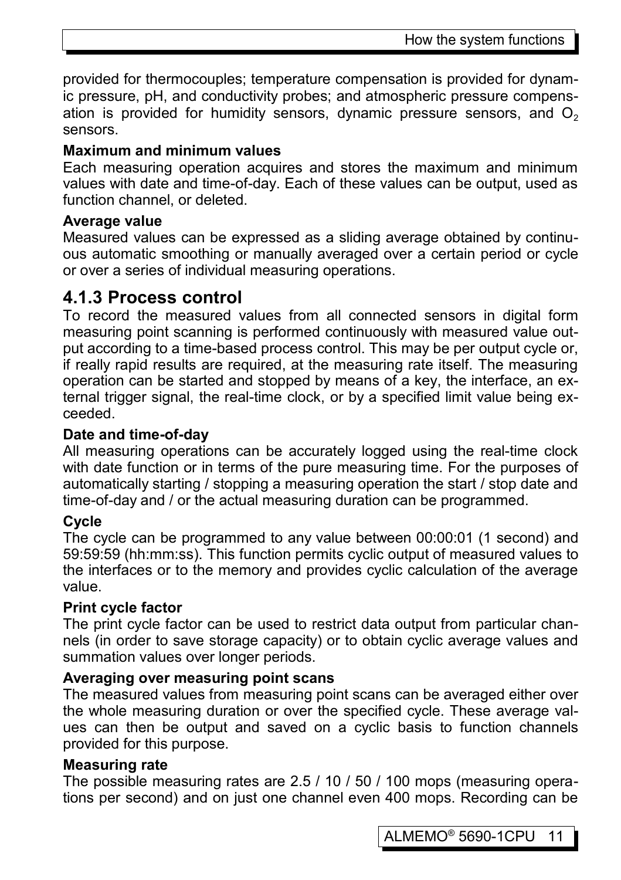provided for thermocouples; temperature compensation is provided for dynamic pressure, pH, and conductivity probes; and atmospheric pressure compensation is provided for humidity sensors, dynamic pressure sensors, and  $O<sub>2</sub>$ sensors.

### **Maximum and minimum values**

Each measuring operation acquires and stores the maximum and minimum values with date and time-of-day. Each of these values can be output, used as function channel, or deleted.

### **Average value**

Measured values can be expressed as a sliding average obtained by continuous automatic smoothing or manually averaged over a certain period or cycle or over a series of individual measuring operations.

### **4.1.3 Process control**

To record the measured values from all connected sensors in digital form measuring point scanning is performed continuously with measured value output according to a time-based process control. This may be per output cycle or, if really rapid results are required, at the measuring rate itself. The measuring operation can be started and stopped by means of a key, the interface, an external trigger signal, the real-time clock, or by a specified limit value being exceeded.

### **Date and time-of-day**

All measuring operations can be accurately logged using the real-time clock with date function or in terms of the pure measuring time. For the purposes of automatically starting / stopping a measuring operation the start / stop date and time-of-day and / or the actual measuring duration can be programmed.

### **Cycle**

The cycle can be programmed to any value between 00:00:01 (1 second) and 59:59:59 (hh:mm:ss). This function permits cyclic output of measured values to the interfaces or to the memory and provides cyclic calculation of the average value.

### **Print cycle factor**

The print cycle factor can be used to restrict data output from particular channels (in order to save storage capacity) or to obtain cyclic average values and summation values over longer periods.

### **Averaging over measuring point scans**

The measured values from measuring point scans can be averaged either over the whole measuring duration or over the specified cycle. These average values can then be output and saved on a cyclic basis to function channels provided for this purpose.

#### **Measuring rate**

The possible measuring rates are 2.5 / 10 / 50 / 100 mops (measuring operations per second) and on just one channel even 400 mops. Recording can be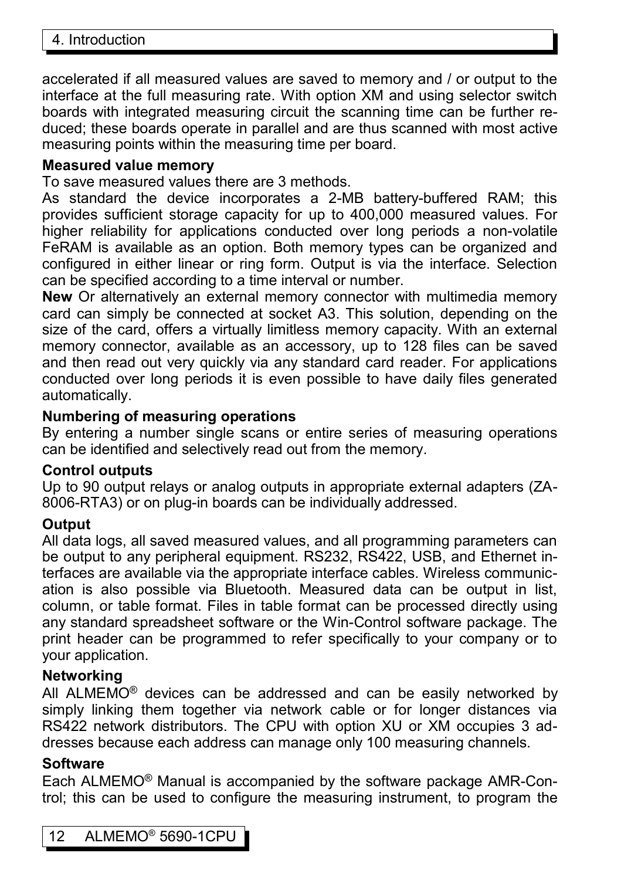accelerated if all measured values are saved to memory and / or output to the interface at the full measuring rate. With option XM and using selector switch boards with integrated measuring circuit the scanning time can be further reduced; these boards operate in parallel and are thus scanned with most active measuring points within the measuring time per board.

#### **Measured value memory**

To save measured values there are 3 methods.

As standard the device incorporates a 2-MB battery-buffered RAM; this provides sufficient storage capacity for up to 400,000 measured values. For higher reliability for applications conducted over long periods a non-volatile FeRAM is available as an option. Both memory types can be organized and configured in either linear or ring form. Output is via the interface. Selection can be specified according to a time interval or number.

**New** Or alternatively an external memory connector with multimedia memory card can simply be connected at socket A3. This solution, depending on the size of the card, offers a virtually limitless memory capacity. With an external memory connector, available as an accessory, up to 128 files can be saved and then read out very quickly via any standard card reader. For applications conducted over long periods it is even possible to have daily files generated automatically.

### **Numbering of measuring operations**

By entering a number single scans or entire series of measuring operations can be identified and selectively read out from the memory.

### **Control outputs**

Up to 90 output relays or analog outputs in appropriate external adapters (ZA-8006-RTA3) or on plug-in boards can be individually addressed.

### **Output**

All data logs, all saved measured values, and all programming parameters can be output to any peripheral equipment. RS232, RS422, USB, and Ethernet interfaces are available via the appropriate interface cables. Wireless communication is also possible via Bluetooth. Measured data can be output in list, column, or table format. Files in table format can be processed directly using any standard spreadsheet software or the Win-Control software package. The print header can be programmed to refer specifically to your company or to your application.

### **Networking**

All ALMEMO<sup>®</sup> devices can be addressed and can be easily networked by simply linking them together via network cable or for longer distances via RS422 network distributors. The CPU with option XU or XM occupies 3 addresses because each address can manage only 100 measuring channels.

### **Software**

Each ALMEMO® Manual is accompanied by the software package AMR-Control; this can be used to configure the measuring instrument, to program the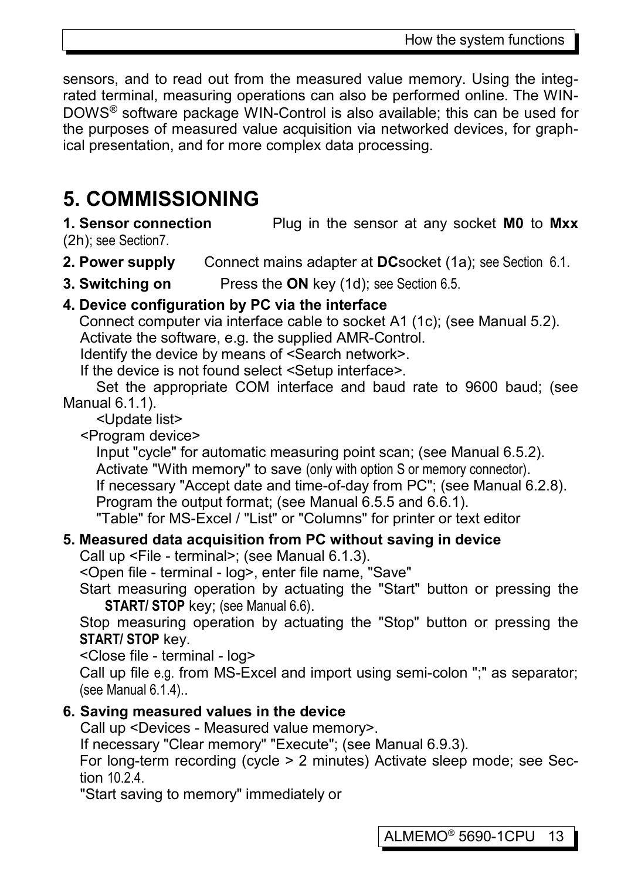sensors, and to read out from the measured value memory. Using the integrated terminal, measuring operations can also be performed online. The WIN-DOWS® software package WIN-Control is also available; this can be used for the purposes of measured value acquisition via networked devices, for graphical presentation, and for more complex data processing.

# **5. COMMISSIONING**

**1. Sensor connection** Plug in the sensor at any socket **M0** to **Mxx** (2h); see Sectio[n7.](#page-15-0)

**2. Power supply** Connect mains adapter at **DC**socket (1a); see Section [6.1.](#page-13-0)

**3. Switching on** Press the **ON** key (1d); see Section [6.5.](#page-14-0)

### **4. Device configuration by PC via the interface**

 Connect computer via interface cable to socket A1 (1c); (see Manual 5.2). Activate the software, e.g. the supplied AMR-Control.

Identify the device by means of <Search network>.

If the device is not found select <Setup interface>.

 Set the appropriate COM interface and baud rate to 9600 baud; (see Manual 6.1.1).

<Update list>

<Program device>

Input "cycle" for automatic measuring point scan; (see Manual 6.5.2). Activate "With memory" to save (only with option S or memory connector). If necessary "Accept date and time-of-day from PC"; (see Manual 6.2.8). Program the output format; (see Manual 6.5.5 and 6.6.1). "Table" for MS-Excel / "List" or "Columns" for printer or text editor

### **5. Measured data acquisition from PC without saving in device**

Call up <File - terminal>; (see Manual 6.1.3).

<Open file - terminal - log>, enter file name, "Save"

Start measuring operation by actuating the "Start" button or pressing the **START/ STOP** key; (see Manual 6.6).

Stop measuring operation by actuating the "Stop" button or pressing the **START/ STOP** key.

<Close file - terminal - log>

Call up file e.g. from MS-Excel and import using semi-colon ";" as separator; (see Manual 6.1.4)..

### **6. Saving measured values in the device**

Call up <Devices - Measured value memory>.

If necessary "Clear memory" "Execute"; (see Manual 6.9.3).

 For long-term recording (cycle > 2 minutes) Activate sleep mode; see Section [10.2.4.](#page-23-0)

"Start saving to memory" immediately or

ALMEMO® 5690-1CPU 13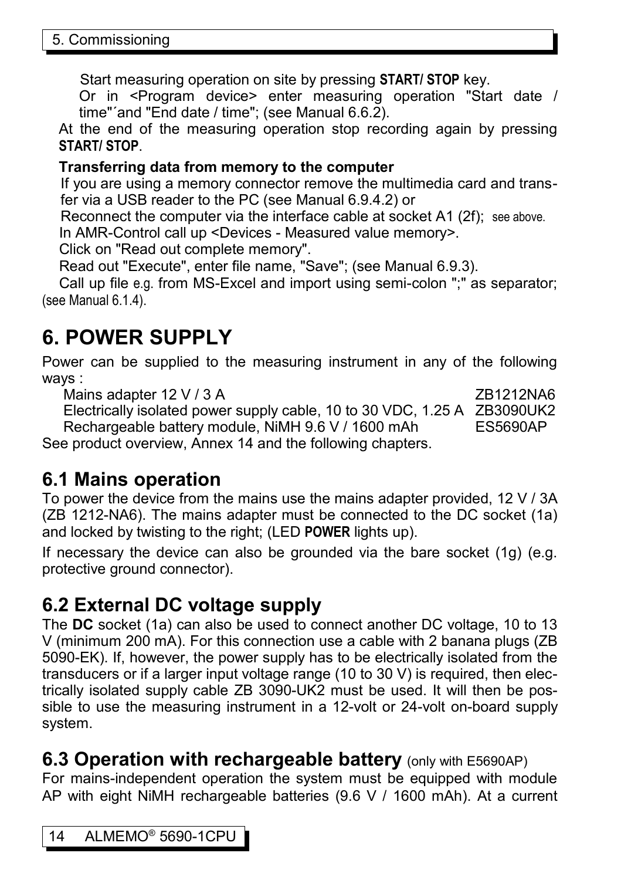Start measuring operation on site by pressing **START/ STOP** key.

Or in <Program device> enter measuring operation "Start date / time"´and "End date / time"; (see Manual 6.6.2).

At the end of the measuring operation stop recording again by pressing **START/ STOP**.

### **Transferring data from memory to the computer**

If you are using a memory connector remove the multimedia card and transfer via a USB reader to the PC (see Manual 6.9.4.2) or

Reconnect the computer via the interface cable at socket A1 (2f); see above. In AMR-Control call up <Devices - Measured value memory>.

Click on "Read out complete memory".

Read out "Execute", enter file name, "Save"; (see Manual 6.9.3).

Call up file e.g. from MS-Excel and import using semi-colon ";" as separator; (see Manual 6.1.4).

# **6. POWER SUPPLY**

Power can be supplied to the measuring instrument in any of the following ways :

Mains adapter 12 V / 3 A  $ZB1212NAB$ Electrically isolated power supply cable, 10 to 30 VDC, 1.25 A ZB3090UK2 Rechargeable battery module, NiMH 9.6 V / 1600 mAh ES5690AP See product overview, Annex 14 and the following chapters.

### <span id="page-13-0"></span>**6.1 Mains operation**

To power the device from the mains use the mains adapter provided, 12 V / 3A (ZB 1212-NA6). The mains adapter must be connected to the DC socket (1a) and locked by twisting to the right; (LED **POWER** lights up).

If necessary the device can also be grounded via the bare socket (1g) (e.g. protective ground connector).

# **6.2 External DC voltage supply**

The **DC** socket (1a) can also be used to connect another DC voltage, 10 to 13 V (minimum 200 mA). For this connection use a cable with 2 banana plugs (ZB 5090-EK). If, however, the power supply has to be electrically isolated from the transducers or if a larger input voltage range (10 to 30 V) is required, then electrically isolated supply cable ZB 3090-UK2 must be used. It will then be possible to use the measuring instrument in a 12-volt or 24-volt on-board supply system.

### <span id="page-13-1"></span>**6.3 Operation with rechargeable battery** (only with E5690AP)

For mains-independent operation the system must be equipped with module AP with eight NiMH rechargeable batteries (9.6 V / 1600 mAh). At a current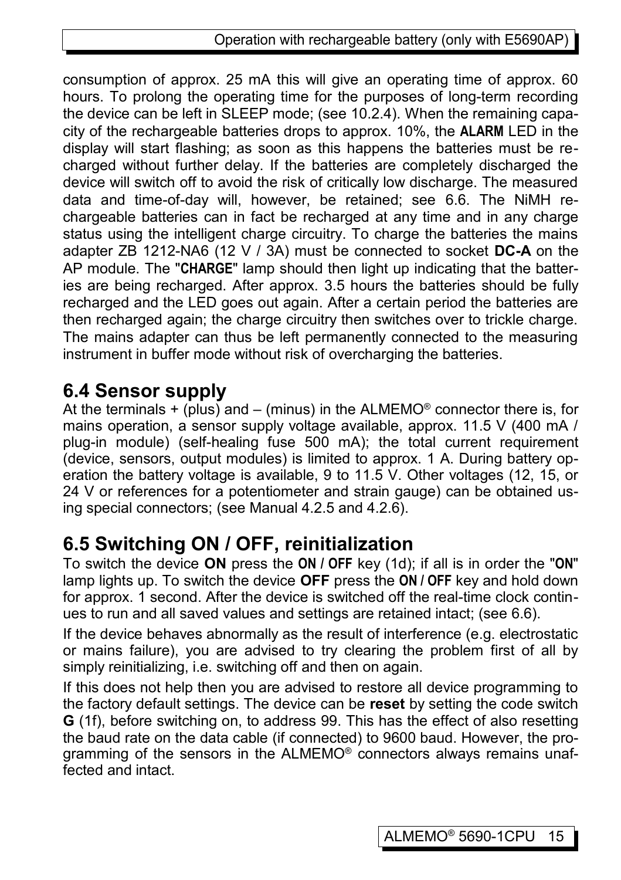consumption of approx. 25 mA this will give an operating time of approx. 60 hours. To prolong the operating time for the purposes of long-term recording the device can be left in SLEEP mode; (see [10.2.4\)](#page-23-0). When the remaining capacity of the rechargeable batteries drops to approx. 10%, the **ALARM** LED in the display will start flashing; as soon as this happens the batteries must be recharged without further delay. If the batteries are completely discharged the device will switch off to avoid the risk of critically low discharge. The measured data and time-of-day will, however, be retained; see [6.6.](#page-15-1) The NiMH rechargeable batteries can in fact be recharged at any time and in any charge status using the intelligent charge circuitry. To charge the batteries the mains adapter ZB 1212-NA6 (12 V / 3A) must be connected to socket **DC-A** on the AP module. The "**CHARGE**" lamp should then light up indicating that the batteries are being recharged. After approx. 3.5 hours the batteries should be fully recharged and the LED goes out again. After a certain period the batteries are then recharged again; the charge circuitry then switches over to trickle charge. The mains adapter can thus be left permanently connected to the measuring instrument in buffer mode without risk of overcharging the batteries.

### **6.4 Sensor supply**

At the terminals  $+$  (plus) and  $-$  (minus) in the ALMEMO<sup>®</sup> connector there is, for mains operation, a sensor supply voltage available, approx. 11.5 V (400 mA / plug-in module) (self-healing fuse 500 mA); the total current requirement (device, sensors, output modules) is limited to approx. 1 A. During battery operation the battery voltage is available, 9 to 11.5 V. Other voltages (12, 15, or 24 V or references for a potentiometer and strain gauge) can be obtained using special connectors; (see Manual 4.2.5 and 4.2.6).

# <span id="page-14-0"></span>**6.5 Switching ON / OFF, reinitialization**

To switch the device **ON** press the **ON / OFF** key (1d); if all is in order the "**ON**" lamp lights up. To switch the device **OFF** press the **ON / OFF** key and hold down for approx. 1 second. After the device is switched off the real-time clock continues to run and all saved values and settings are retained intact; (see [6.6\)](#page-15-1).

If the device behaves abnormally as the result of interference (e.g. electrostatic or mains failure), you are advised to try clearing the problem first of all by simply reinitializing, i.e. switching off and then on again.

If this does not help then you are advised to restore all device programming to the factory default settings. The device can be **reset** by setting the code switch **G** (1f), before switching on, to address 99. This has the effect of also resetting the baud rate on the data cable (if connected) to 9600 baud. However, the programming of the sensors in the ALMEMO<sup>®</sup> connectors always remains unaffected and intact.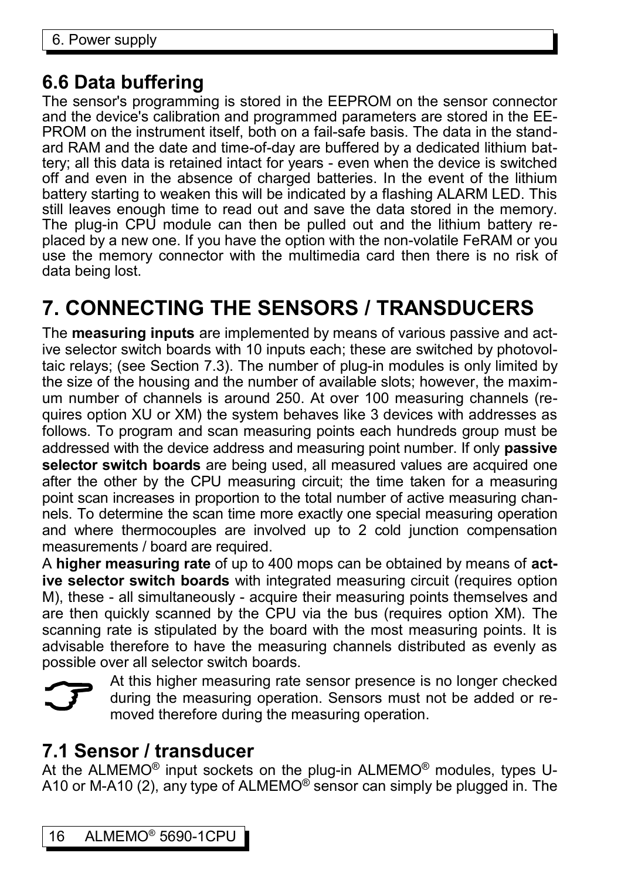### <span id="page-15-1"></span>**6.6 Data buffering**

The sensor's programming is stored in the EEPROM on the sensor connector and the device's calibration and programmed parameters are stored in the EE-PROM on the instrument itself, both on a fail-safe basis. The data in the standard RAM and the date and time-of-day are buffered by a dedicated lithium battery; all this data is retained intact for years - even when the device is switched off and even in the absence of charged batteries. In the event of the lithium battery starting to weaken this will be indicated by a flashing ALARM LED. This still leaves enough time to read out and save the data stored in the memory. The plug-in CPU module can then be pulled out and the lithium battery replaced by a new one. If you have the option with the non-volatile FeRAM or you use the memory connector with the multimedia card then there is no risk of data being lost.

# <span id="page-15-0"></span>**7. CONNECTING THE SENSORS / TRANSDUCERS**

The **measuring inputs** are implemented by means of various passive and active selector switch boards with 10 inputs each; these are switched by photovoltaic relays; (see Section [7.3\)](#page-16-0). The number of plug-in modules is only limited by the size of the housing and the number of available slots; however, the maximum number of channels is around 250. At over 100 measuring channels (requires option XU or XM) the system behaves like 3 devices with addresses as follows. To program and scan measuring points each hundreds group must be addressed with the device address and measuring point number. If only **passive selector switch boards** are being used, all measured values are acquired one after the other by the CPU measuring circuit; the time taken for a measuring point scan increases in proportion to the total number of active measuring channels. To determine the scan time more exactly one special measuring operation and where thermocouples are involved up to 2 cold junction compensation measurements / board are required.

A **higher measuring rate** of up to 400 mops can be obtained by means of **active selector switch boards** with integrated measuring circuit (requires option M), these - all simultaneously - acquire their measuring points themselves and are then quickly scanned by the CPU via the bus (requires option XM). The scanning rate is stipulated by the board with the most measuring points. It is advisable therefore to have the measuring channels distributed as evenly as possible over all selector switch boards.



At this higher measuring rate sensor presence is no longer checked during the measuring operation. Sensors must not be added or removed therefore during the measuring operation.

### **7.1 Sensor / transducer**

At the ALMEMO<sup>®</sup> input sockets on the plug-in ALMEMO<sup>®</sup> modules, types U-A10 or M-A10 (2), any type of ALMEMO<sup>®</sup> sensor can simply be plugged in. The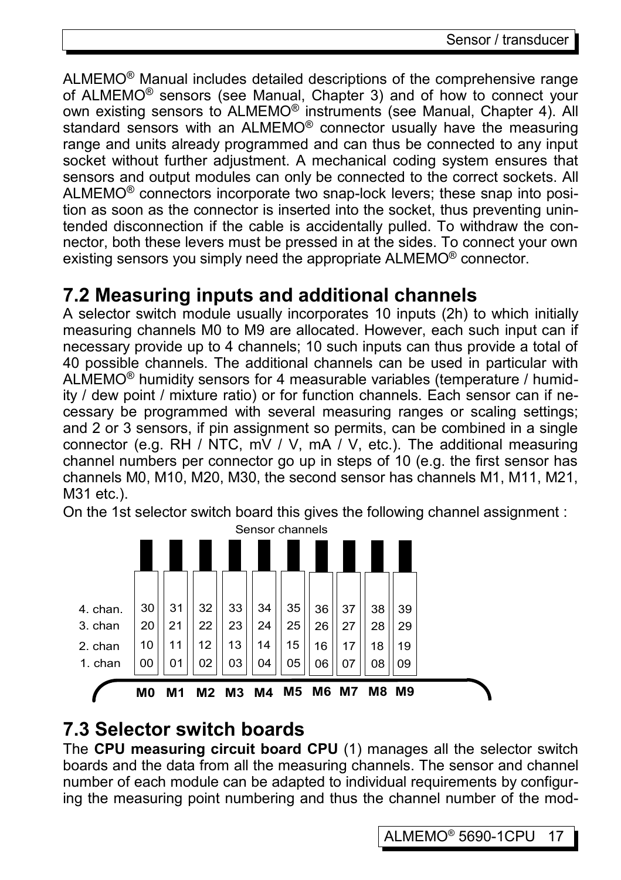ALMEMO® Manual includes detailed descriptions of the comprehensive range of ALMEMO® sensors (see Manual, Chapter 3) and of how to connect your own existing sensors to ALMEMO® instruments (see Manual, Chapter 4). All standard sensors with an ALMEMO® connector usually have the measuring range and units already programmed and can thus be connected to any input socket without further adjustment. A mechanical coding system ensures that sensors and output modules can only be connected to the correct sockets. All ALMEMO® connectors incorporate two snap-lock levers; these snap into position as soon as the connector is inserted into the socket, thus preventing unintended disconnection if the cable is accidentally pulled. To withdraw the connector, both these levers must be pressed in at the sides. To connect your own existing sensors you simply need the appropriate ALMEMO<sup>®</sup> connector.

### **7.2 Measuring inputs and additional channels**

A selector switch module usually incorporates 10 inputs (2h) to which initially measuring channels M0 to M9 are allocated. However, each such input can if necessary provide up to 4 channels; 10 such inputs can thus provide a total of 40 possible channels. The additional channels can be used in particular with ALMEMO® humidity sensors for 4 measurable variables (temperature / humidity / dew point / mixture ratio) or for function channels. Each sensor can if necessary be programmed with several measuring ranges or scaling settings; and 2 or 3 sensors, if pin assignment so permits, can be combined in a single connector (e.g. RH / NTC, mV / V, mA / V, etc.). The additional measuring channel numbers per connector go up in steps of 10 (e.g. the first sensor has channels M0, M10, M20, M30, the second sensor has channels M1, M11, M21, M31 etc.).

On the 1st selector switch board this gives the following channel assignment :



### <span id="page-16-0"></span>**7.3 Selector switch boards**

The **CPU measuring circuit board CPU** (1) manages all the selector switch boards and the data from all the measuring channels. The sensor and channel number of each module can be adapted to individual requirements by configuring the measuring point numbering and thus the channel number of the mod-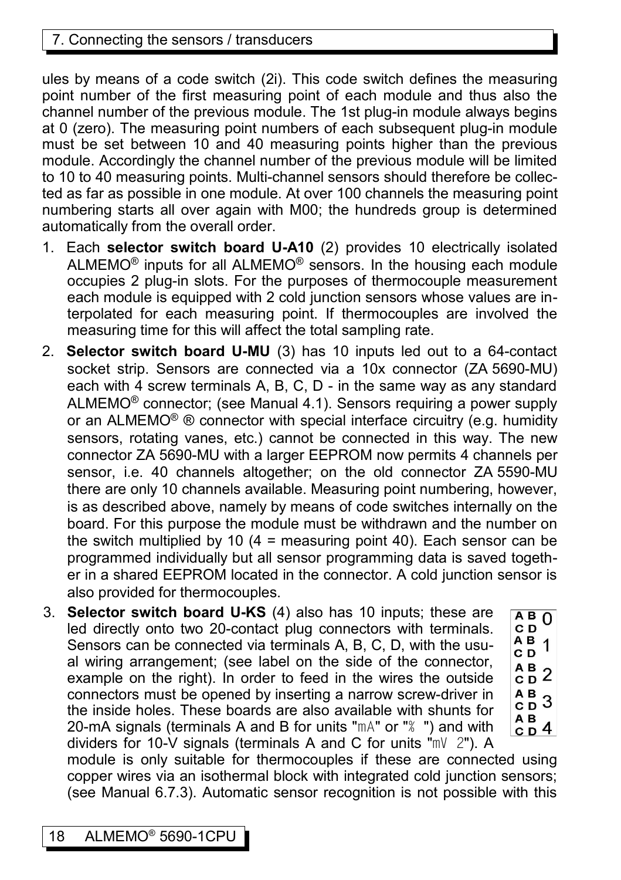### 7. Connecting the sensors / transducers

ules by means of a code switch (2i). This code switch defines the measuring point number of the first measuring point of each module and thus also the channel number of the previous module. The 1st plug-in module always begins at 0 (zero). The measuring point numbers of each subsequent plug-in module must be set between 10 and 40 measuring points higher than the previous module. Accordingly the channel number of the previous module will be limited to 10 to 40 measuring points. Multi-channel sensors should therefore be collected as far as possible in one module. At over 100 channels the measuring point numbering starts all over again with M00; the hundreds group is determined automatically from the overall order.

- 1. Each **selector switch board U-A10** (2) provides 10 electrically isolated ALMEMO® inputs for all ALMEMO® sensors. In the housing each module occupies 2 plug-in slots. For the purposes of thermocouple measurement each module is equipped with 2 cold junction sensors whose values are interpolated for each measuring point. If thermocouples are involved the measuring time for this will affect the total sampling rate.
- 2. **Selector switch board U-MU** (3) has 10 inputs led out to a 64-contact socket strip. Sensors are connected via a 10x connector (ZA 5690-MU) each with 4 screw terminals A, B, C, D - in the same way as any standard ALMEMO® connector; (see Manual 4.1). Sensors requiring a power supply or an ALMEMO<sup>®</sup> ® connector with special interface circuitry (e.g. humidity sensors, rotating vanes, etc.) cannot be connected in this way. The new connector ZA 5690-MU with a larger EEPROM now permits 4 channels per sensor, i.e. 40 channels altogether; on the old connector ZA 5590-MU there are only 10 channels available. Measuring point numbering, however, is as described above, namely by means of code switches internally on the board. For this purpose the module must be withdrawn and the number on the switch multiplied by 10  $(4 = \text{measuring point } 40)$ . Each sensor can be programmed individually but all sensor programming data is saved together in a shared EEPROM located in the connector. A cold junction sensor is also provided for thermocouples.
- 3. **Selector switch board U-KS** (4) also has 10 inputs; these are led directly onto two 20-contact plug connectors with terminals. Sensors can be connected via terminals A, B, C, D, with the usual wiring arrangement; (see label on the side of the connector, example on the right). In order to feed in the wires the outside connectors must be opened by inserting a narrow screw-driver in the inside holes. These boards are also available with shunts for 20-mA signals (terminals A and B for units "mA" or "% ") and with dividers for 10-V signals (terminals A and C for units "mV 2"). A

module is only suitable for thermocouples if these are connected using copper wires via an isothermal block with integrated cold junction sensors; (see Manual 6.7.3). Automatic sensor recognition is not possible with this

 $AB$ <sup>O</sup> CD  $\frac{\overline{AB}}{\overline{AB}}$  1 CD  $A$  B 2  $A$  B  $3$ ΑВ  $CD<sup>4</sup>$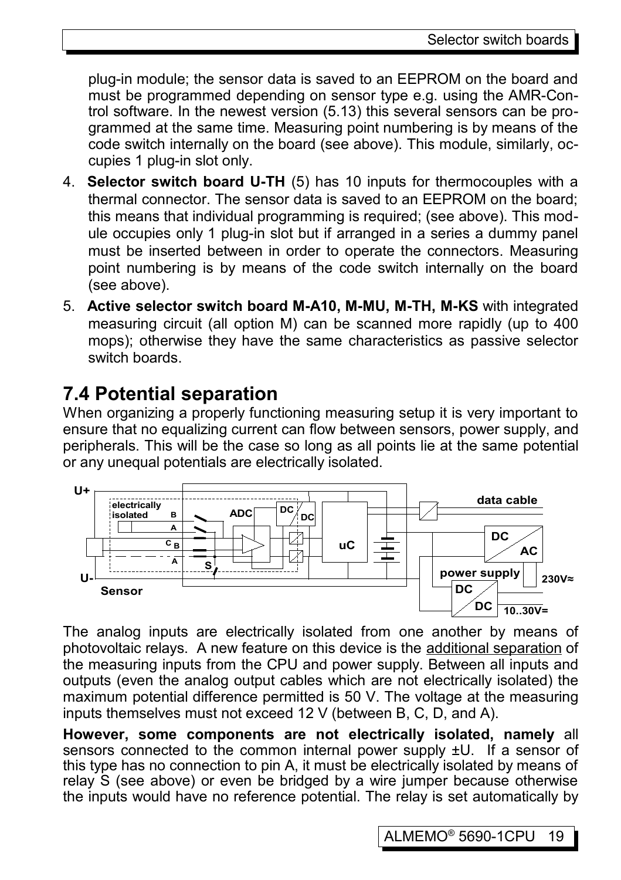plug-in module; the sensor data is saved to an EEPROM on the board and must be programmed depending on sensor type e.g. using the AMR-Control software. In the newest version (5.13) this several sensors can be programmed at the same time. Measuring point numbering is by means of the code switch internally on the board (see above). This module, similarly, occupies 1 plug-in slot only.

- 4. **Selector switch board U-TH** (5) has 10 inputs for thermocouples with a thermal connector. The sensor data is saved to an EEPROM on the board; this means that individual programming is required; (see above). This module occupies only 1 plug-in slot but if arranged in a series a dummy panel must be inserted between in order to operate the connectors. Measuring point numbering is by means of the code switch internally on the board (see above).
- 5. **Active selector switch board M-A10, M-MU, M-TH, M-KS** with integrated measuring circuit (all option M) can be scanned more rapidly (up to 400 mops); otherwise they have the same characteristics as passive selector switch boards.

### <span id="page-18-0"></span>**7.4 Potential separation**

When organizing a properly functioning measuring setup it is very important to ensure that no equalizing current can flow between sensors, power supply, and peripherals. This will be the case so long as all points lie at the same potential or any unequal potentials are electrically isolated.



The analog inputs are electrically isolated from one another by means of photovoltaic relays. A new feature on this device is the additional separation of the measuring inputs from the CPU and power supply. Between all inputs and outputs (even the analog output cables which are not electrically isolated) the maximum potential difference permitted is 50 V. The voltage at the measuring inputs themselves must not exceed 12 V (between B, C, D, and A).

**However, some components are not electrically isolated, namely** all sensors connected to the common internal power supply ±U. If a sensor of this type has no connection to pin A, it must be electrically isolated by means of relay S (see above) or even be bridged by a wire jumper because otherwise the inputs would have no reference potential. The relay is set automatically by

ALMEMO® 5690-1CPU 19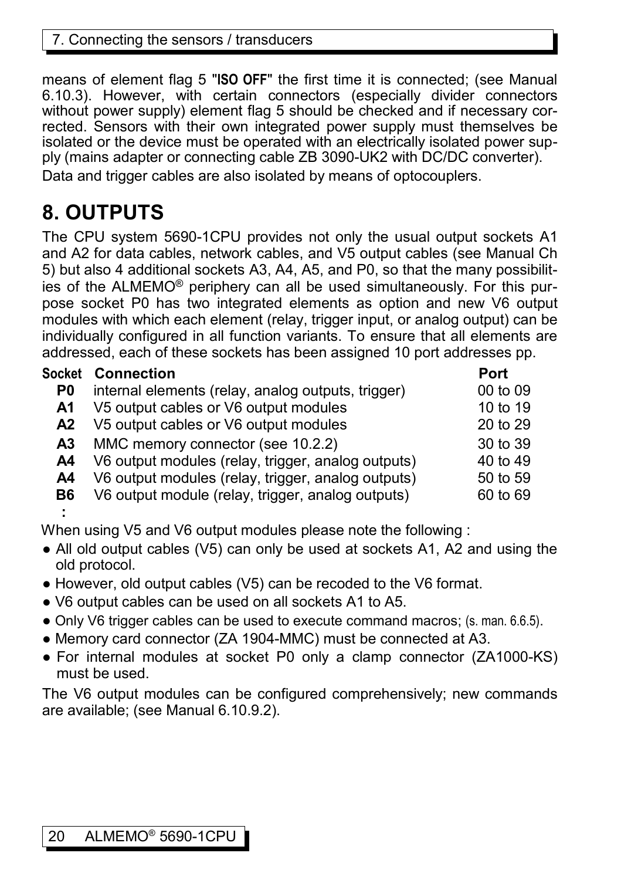means of element flag 5 "**ISO OFF**" the first time it is connected; (see Manual 6.10.3). However, with certain connectors (especially divider connectors without power supply) element flag 5 should be checked and if necessary corrected. Sensors with their own integrated power supply must themselves be isolated or the device must be operated with an electrically isolated power supply (mains adapter or connecting cable ZB 3090-UK2 with DC/DC converter). Data and trigger cables are also isolated by means of optocouplers.

# **8. OUTPUTS**

The CPU system 5690-1CPU provides not only the usual output sockets A1 and A2 for data cables, network cables, and V5 output cables (see Manual Ch 5) but also 4 additional sockets A3, A4, A5, and P0, so that the many possibilities of the ALMEMO® periphery can all be used simultaneously. For this purpose socket P0 has two integrated elements as option and new V6 output modules with which each element (relay, trigger input, or analog output) can be individually configured in all function variants. To ensure that all elements are addressed, each of these sockets has been assigned 10 port addresses pp.

| Socket         | <b>Connection</b>                                  | <b>Port</b> |
|----------------|----------------------------------------------------|-------------|
| P0             | internal elements (relay, analog outputs, trigger) | 00 to 09    |
| A1             | V5 output cables or V6 output modules              | 10 to 19    |
| A <sub>2</sub> | V5 output cables or V6 output modules              | 20 to 29    |
| А3             | MMC memory connector (see 10.2.2)                  | 30 to 39    |
| A4             | V6 output modules (relay, trigger, analog outputs) | 40 to 49    |
| A4             | V6 output modules (relay, trigger, analog outputs) | 50 to 59    |
| B6             | V6 output module (relay, trigger, analog outputs)  | 60 to 69    |
| ÷              |                                                    |             |

When using V5 and V6 output modules please note the following :

- All old output cables (V5) can only be used at sockets A1, A2 and using the old protocol.
- However, old output cables (V5) can be recoded to the V6 format.
- V6 output cables can be used on all sockets A1 to A5.
- Only V6 trigger cables can be used to execute command macros; (s. man. 6.6.5).
- Memory card connector (ZA 1904-MMC) must be connected at A3.
- For internal modules at socket P0 only a clamp connector (ZA1000-KS) must be used.

The V6 output modules can be configured comprehensively; new commands are available; (see Manual 6.10.9.2).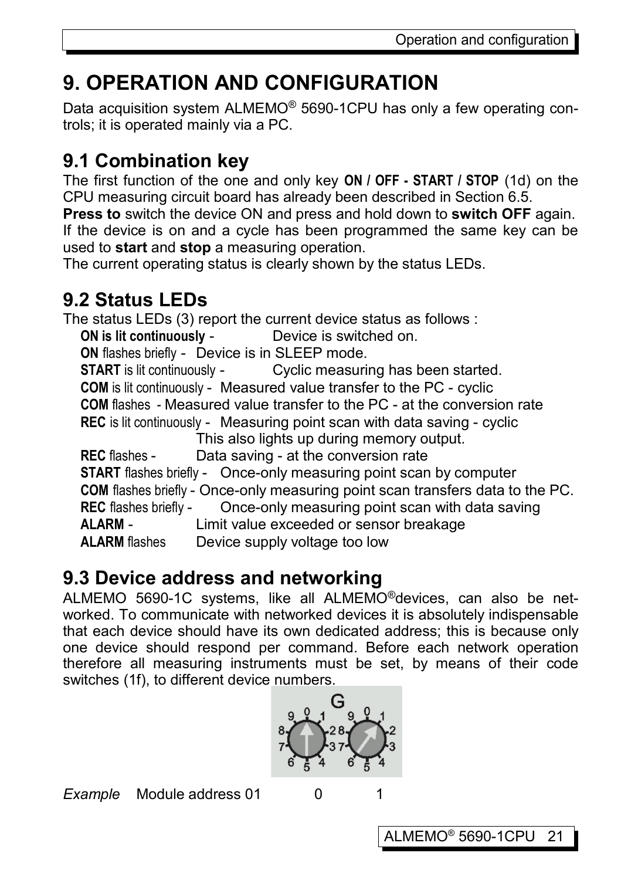# **9. OPERATION AND CONFIGURATION**

Data acquisition system ALMEMO® 5690-1CPU has only a few operating controls; it is operated mainly via a PC.

# **9.1 Combination key**

The first function of the one and only key **ON / OFF - START / STOP** (1d) on the CPU measuring circuit board has already been described in Section 6.5.

**Press to** switch the device ON and press and hold down to **switch OFF** again. If the device is on and a cycle has been programmed the same key can be used to **start** and **stop** a measuring operation.

The current operating status is clearly shown by the status LEDs.

# <span id="page-20-0"></span>**9.2 Status LEDs**

The status LEDs (3) report the current device status as follows :

**ON is lit continuously -** Device is switched on.

**ON** flashes briefly - Device is in SLEEP mode.

**START** is lit continuously - Cyclic measuring has been started. **COM** is lit continuously - Measured value transfer to the PC - cyclic **COM** flashes - Measured value transfer to the PC - at the conversion rate **REC** is lit continuously - Measuring point scan with data saving - cyclic This also lights up during memory output.

**REC** flashes - Data saving - at the conversion rate **START** flashes briefly - Once-only measuring point scan by computer **COM** flashes briefly - Once-only measuring point scan transfers data to the PC. **REC** flashes briefly - Once-only measuring point scan with data saving **ALARM** - Limit value exceeded or sensor breakage **ALARM** flashes Device supply voltage too low

# **9.3 Device address and networking**

ALMEMO 5690-1C systems, like all ALMEMO®devices, can also be networked. To communicate with networked devices it is absolutely indispensable that each device should have its own dedicated address; this is because only one device should respond per command. Before each network operation therefore all measuring instruments must be set, by means of their code switches (1f), to different device numbers.



**Example** Module address 01 0 1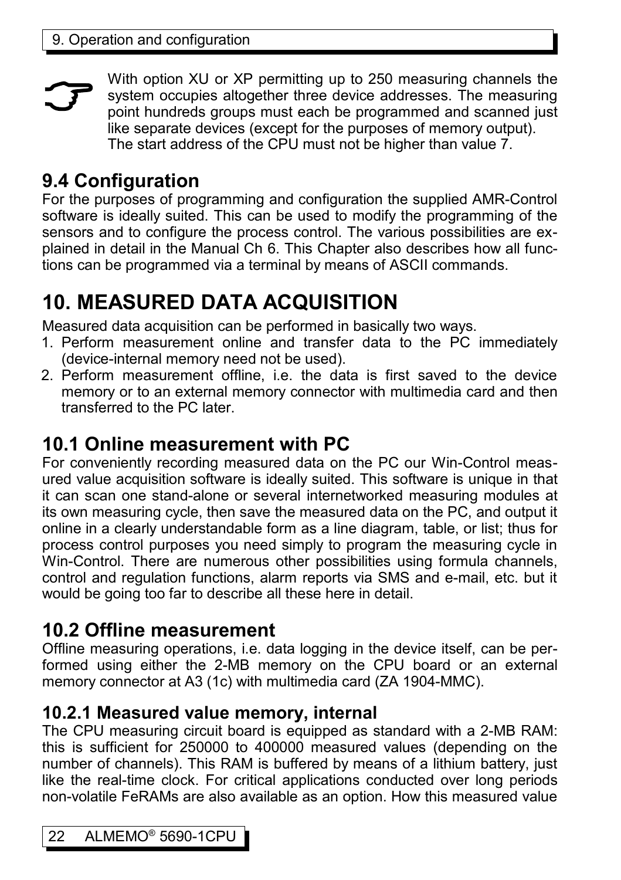With option XU or XP permitting up to 250 measuring channels the system occupies altogether three device addresses. The measuring point hundreds groups must each be programmed and scanned just like separate devices (except for the purposes of memory output). The start address of the CPU must not be higher than value 7.  $\mathcal{F}$ 

# **9.4 Configuration**

For the purposes of programming and configuration the supplied AMR-Control software is ideally suited. This can be used to modify the programming of the sensors and to configure the process control. The various possibilities are explained in detail in the Manual Ch 6. This Chapter also describes how all functions can be programmed via a terminal by means of ASCII commands.

# **10. MEASURED DATA ACQUISITION**

Measured data acquisition can be performed in basically two ways.

- 1. Perform measurement online and transfer data to the PC immediately (device-internal memory need not be used).
- 2. Perform measurement offline, i.e. the data is first saved to the device memory or to an external memory connector with multimedia card and then transferred to the PC later.

# **10.1 Online measurement with PC**

For conveniently recording measured data on the PC our Win-Control measured value acquisition software is ideally suited. This software is unique in that it can scan one stand-alone or several internetworked measuring modules at its own measuring cycle, then save the measured data on the PC, and output it online in a clearly understandable form as a line diagram, table, or list; thus for process control purposes you need simply to program the measuring cycle in Win-Control. There are numerous other possibilities using formula channels, control and regulation functions, alarm reports via SMS and e-mail, etc. but it would be going too far to describe all these here in detail.

# **10.2 Offline measurement**

Offline measuring operations, i.e. data logging in the device itself, can be performed using either the 2-MB memory on the CPU board or an external memory connector at A3 (1c) with multimedia card (ZA 1904-MMC).

### **10.2.1 Measured value memory, internal**

The CPU measuring circuit board is equipped as standard with a 2-MB RAM: this is sufficient for 250000 to 400000 measured values (depending on the number of channels). This RAM is buffered by means of a lithium battery, just like the real-time clock. For critical applications conducted over long periods non-volatile FeRAMs are also available as an option. How this measured value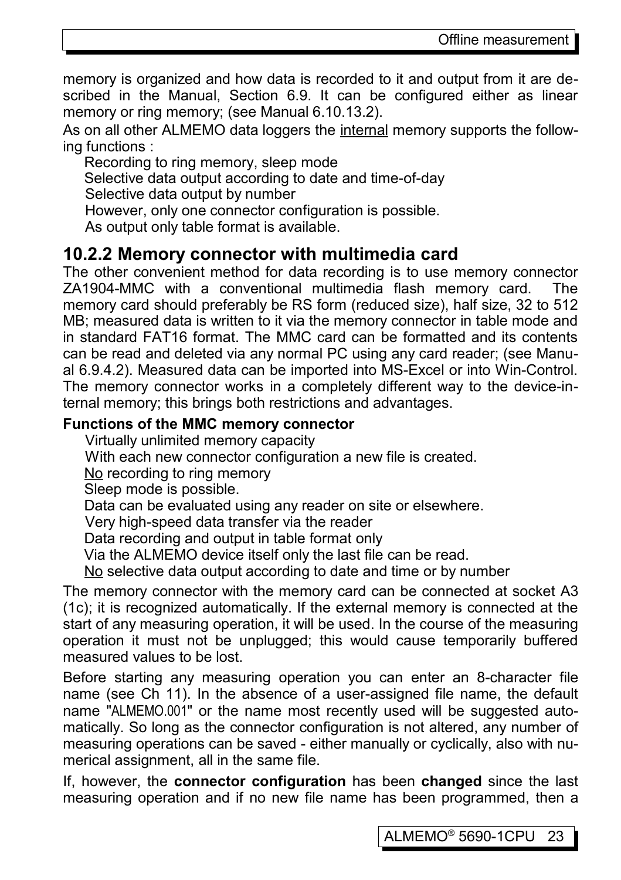memory is organized and how data is recorded to it and output from it are described in the Manual, Section 6.9. It can be configured either as linear memory or ring memory; (see Manual 6.10.13.2).

As on all other ALMEMO data loggers the internal memory supports the following functions :

Recording to ring memory, sleep mode

Selective data output according to date and time-of-day

Selective data output by number

However, only one connector configuration is possible.

<span id="page-22-0"></span>As output only table format is available.

### **10.2.2 Memory connector with multimedia card**

The other convenient method for data recording is to use memory connector ZA1904-MMC with a conventional multimedia flash memory card. The memory card should preferably be RS form (reduced size), half size, 32 to 512 MB; measured data is written to it via the memory connector in table mode and in standard FAT16 format. The MMC card can be formatted and its contents can be read and deleted via any normal PC using any card reader; (see Manual 6.9.4.2). Measured data can be imported into MS-Excel or into Win-Control. The memory connector works in a completely different way to the device-internal memory; this brings both restrictions and advantages.

### **Functions of the MMC memory connector**

Virtually unlimited memory capacity

With each new connector configuration a new file is created.

No recording to ring memory

Sleep mode is possible.

Data can be evaluated using any reader on site or elsewhere.

Very high-speed data transfer via the reader

Data recording and output in table format only

Via the ALMEMO device itself only the last file can be read.

No selective data output according to date and time or by number

The memory connector with the memory card can be connected at socket A3 (1c); it is recognized automatically. If the external memory is connected at the start of any measuring operation, it will be used. In the course of the measuring operation it must not be unplugged; this would cause temporarily buffered measured values to be lost.

Before starting any measuring operation you can enter an 8-character file name (see Ch 11). In the absence of a user-assigned file name, the default name "ALMEMO.001" or the name most recently used will be suggested automatically. So long as the connector configuration is not altered, any number of measuring operations can be saved - either manually or cyclically, also with numerical assignment, all in the same file.

If, however, the **connector configuration** has been **changed** since the last measuring operation and if no new file name has been programmed, then a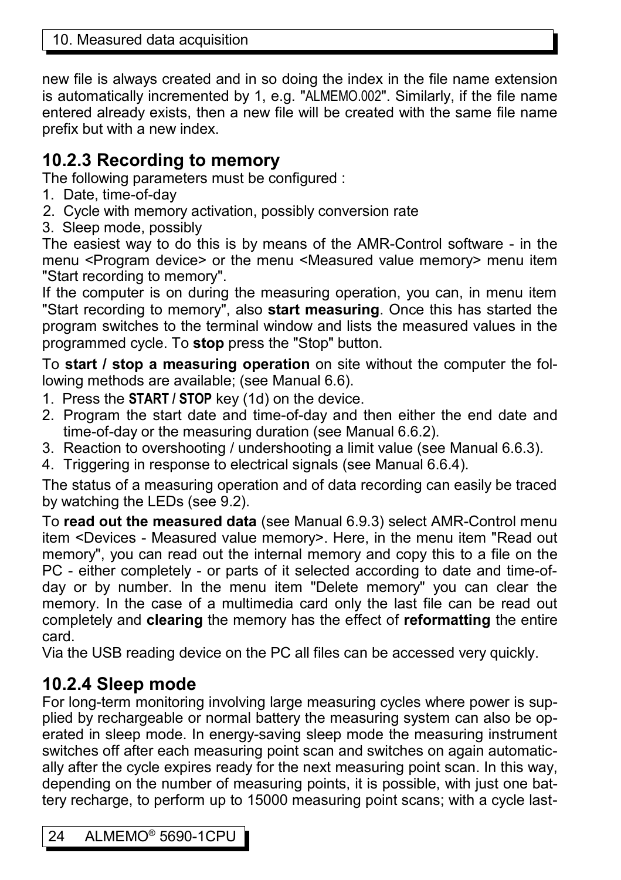new file is always created and in so doing the index in the file name extension is automatically incremented by 1, e.g. "ALMEMO.002". Similarly, if the file name entered already exists, then a new file will be created with the same file name prefix but with a new index.

### **10.2.3 Recording to memory**

The following parameters must be configured :

- 1. Date, time-of-day
- 2. Cycle with memory activation, possibly conversion rate
- 3. Sleep mode, possibly

The easiest way to do this is by means of the AMR-Control software - in the menu <Program device> or the menu <Measured value memory> menu item "Start recording to memory".

If the computer is on during the measuring operation, you can, in menu item "Start recording to memory", also **start measuring**. Once this has started the program switches to the terminal window and lists the measured values in the programmed cycle. To **stop** press the "Stop" button.

To **start / stop a measuring operation** on site without the computer the following methods are available; (see Manual 6.6).

- 1. Press the **START / STOP** key (1d) on the device.
- 2. Program the start date and time-of-day and then either the end date and time-of-day or the measuring duration (see Manual 6.6.2).
- 3. Reaction to overshooting / undershooting a limit value (see Manual 6.6.3).
- 4. Triggering in response to electrical signals (see Manual 6.6.4).

The status of a measuring operation and of data recording can easily be traced by watching the LEDs (see [9.2\)](#page-20-0).

To **read out the measured data** (see Manual 6.9.3) select AMR-Control menu item <Devices - Measured value memory>. Here, in the menu item "Read out memory", you can read out the internal memory and copy this to a file on the PC - either completely - or parts of it selected according to date and time-ofday or by number. In the menu item "Delete memory" you can clear the memory. In the case of a multimedia card only the last file can be read out completely and **clearing** the memory has the effect of **reformatting** the entire card.

Via the USB reading device on the PC all files can be accessed very quickly.

### <span id="page-23-0"></span>**10.2.4 Sleep mode**

For long-term monitoring involving large measuring cycles where power is supplied by rechargeable or normal battery the measuring system can also be operated in sleep mode. In energy-saving sleep mode the measuring instrument switches off after each measuring point scan and switches on again automatically after the cycle expires ready for the next measuring point scan. In this way, depending on the number of measuring points, it is possible, with just one battery recharge, to perform up to 15000 measuring point scans; with a cycle last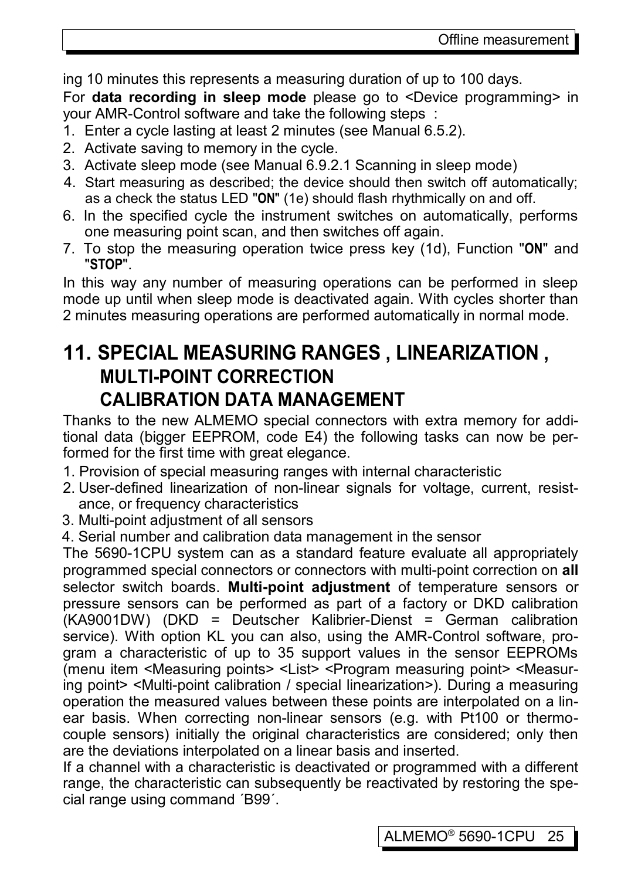ing 10 minutes this represents a measuring duration of up to 100 days.

For **data recording in sleep mode** please go to <Device programming> in your AMR-Control software and take the following steps :

- 1. Enter a cycle lasting at least 2 minutes (see Manual 6.5.2).
- 2. Activate saving to memory in the cycle.
- 3. Activate sleep mode (see Manual 6.9.2.1 Scanning in sleep mode)
- 4. Start measuring as described; the device should then switch off automatically; as a check the status LED "**ON**" (1e) should flash rhythmically on and off.
- 6. In the specified cycle the instrument switches on automatically, performs one measuring point scan, and then switches off again.
- 7. To stop the measuring operation twice press key (1d), Function "**ON**" and "**STOP**".

In this way any number of measuring operations can be performed in sleep mode up until when sleep mode is deactivated again. With cycles shorter than 2 minutes measuring operations are performed automatically in normal mode.

### <span id="page-24-0"></span>**11. SPECIAL MEASURING RANGES , LINEARIZATION , MULTI-POINT CORRECTION CALIBRATION DATA MANAGEMENT**

Thanks to the new ALMEMO special connectors with extra memory for additional data (bigger EEPROM, code E4) the following tasks can now be performed for the first time with great elegance.

- 1. Provision of special measuring ranges with internal characteristic
- 2. User-defined linearization of non-linear signals for voltage, current, resistance, or frequency characteristics
- 3. Multi-point adjustment of all sensors
- 4. Serial number and calibration data management in the sensor

The 5690-1CPU system can as a standard feature evaluate all appropriately programmed special connectors or connectors with multi-point correction on **all** selector switch boards. **Multi-point adjustment** of temperature sensors or pressure sensors can be performed as part of a factory or DKD calibration (KA9001DW) (DKD = Deutscher Kalibrier-Dienst = German calibration service). With option KL you can also, using the AMR-Control software, program a characteristic of up to 35 support values in the sensor EEPROMs (menu item <Measuring points> <List> <Program measuring point> <Measuring point> <Multi-point calibration / special linearization>). During a measuring operation the measured values between these points are interpolated on a linear basis. When correcting non-linear sensors (e.g. with Pt100 or thermocouple sensors) initially the original characteristics are considered; only then are the deviations interpolated on a linear basis and inserted.

If a channel with a characteristic is deactivated or programmed with a different range, the characteristic can subsequently be reactivated by restoring the special range using command ´B99´.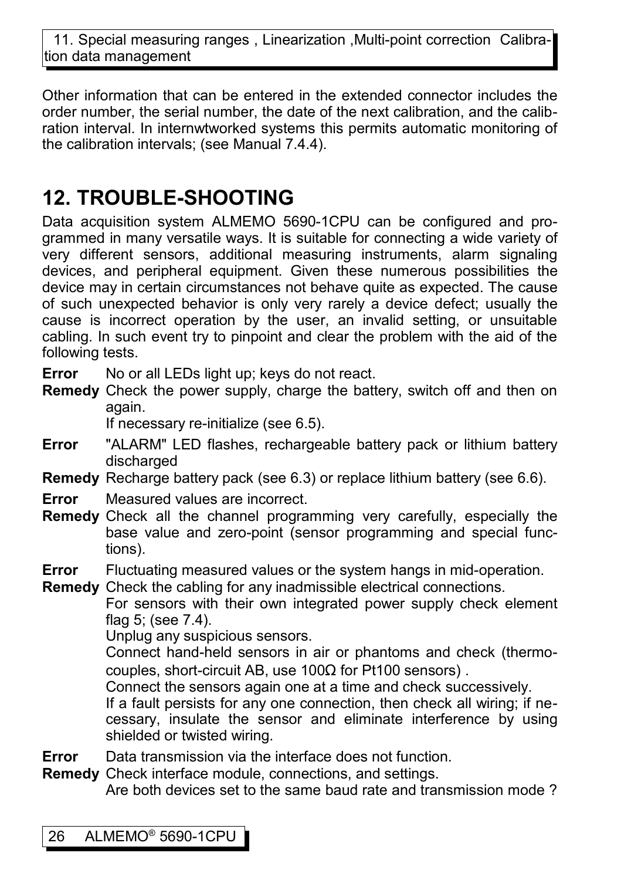11. Special measuring ranges, Linearization ,Multi-point correction Calibration data management

Other information that can be entered in the extended connector includes the order number, the serial number, the date of the next calibration, and the calibration interval. In internwtworked systems this permits automatic monitoring of the calibration intervals; (see Manual 7.4.4).

# <span id="page-25-0"></span>**12. TROUBLE-SHOOTING**

Data acquisition system ALMEMO 5690-1CPU can be configured and programmed in many versatile ways. It is suitable for connecting a wide variety of very different sensors, additional measuring instruments, alarm signaling devices, and peripheral equipment. Given these numerous possibilities the device may in certain circumstances not behave quite as expected. The cause of such unexpected behavior is only very rarely a device defect; usually the cause is incorrect operation by the user, an invalid setting, or unsuitable cabling. In such event try to pinpoint and clear the problem with the aid of the following tests.

- **Error** No or all LEDs light up; keys do not react.
- **Remedy** Check the power supply, charge the battery, switch off and then on again.

If necessary re-initialize (see [6.5\)](#page-14-0).

- **Error** "ALARM" LED flashes, rechargeable battery pack or lithium battery discharged
- **Remedy** Recharge battery pack (see [6.3\)](#page-13-1) or replace lithium battery (see [6.6\)](#page-15-1).
- **Error** Measured values are incorrect.
- **Remedy** Check all the channel programming very carefully, especially the base value and zero-point (sensor programming and special functions).
- **Error** Fluctuating measured values or the system hangs in mid-operation.
- **Remedy** Check the cabling for any inadmissible electrical connections.

For sensors with their own integrated power supply check element flag 5; (see [7.4\)](#page-18-0).

Unplug any suspicious sensors.

Connect hand-held sensors in air or phantoms and check (thermocouples, short-circuit AB, use 100Ω for Pt100 sensors) .

Connect the sensors again one at a time and check successively.

If a fault persists for any one connection, then check all wiring; if necessary, insulate the sensor and eliminate interference by using shielded or twisted wiring.

**Error** Data transmission via the interface does not function.

**Remedy** Check interface module, connections, and settings. Are both devices set to the same baud rate and transmission mode ?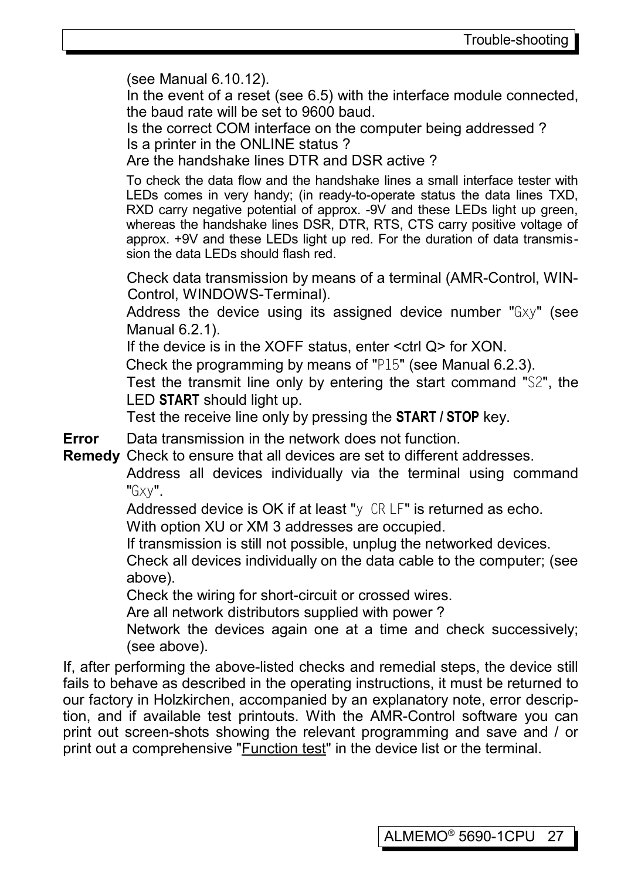(see Manual 6.10.12).

In the event of a reset (see [6.5\)](#page-14-0) with the interface module connected, the baud rate will be set to 9600 baud.

Is the correct COM interface on the computer being addressed ? Is a printer in the ONLINE status ?

Are the handshake lines DTR and DSR active ?

To check the data flow and the handshake lines a small interface tester with LEDs comes in very handy; (in ready-to-operate status the data lines TXD, RXD carry negative potential of approx. -9V and these LEDs light up green, whereas the handshake lines DSR, DTR, RTS, CTS carry positive voltage of approx. +9V and these LEDs light up red. For the duration of data transmission the data LEDs should flash red.

Check data transmission by means of a terminal (AMR-Control, WIN-Control, WINDOWS-Terminal).

Address the device using its assigned device number "Gxy" (see Manual 6.2.1).

If the device is in the XOFF status, enter <ctrl Q> for XON.

Check the programming by means of "P15" (see Manual 6.2.3).

Test the transmit line only by entering the start command "S2", the LED **START** should light up.

Test the receive line only by pressing the **START / STOP** key.

**Error** Data transmission in the network does not function.

**Remedy** Check to ensure that all devices are set to different addresses.

Address all devices individually via the terminal using command "Gxy".

Addressed device is OK if at least "y CR LF" is returned as echo.

With option XU or XM 3 addresses are occupied.

If transmission is still not possible, unplug the networked devices.

Check all devices individually on the data cable to the computer; (see above).

Check the wiring for short-circuit or crossed wires.

Are all network distributors supplied with power ?

Network the devices again one at a time and check successively; (see above).

If, after performing the above-listed checks and remedial steps, the device still fails to behave as described in the operating instructions, it must be returned to our factory in Holzkirchen, accompanied by an explanatory note, error description, and if available test printouts. With the AMR-Control software you can print out screen-shots showing the relevant programming and save and / or print out a comprehensive "Function test" in the device list or the terminal.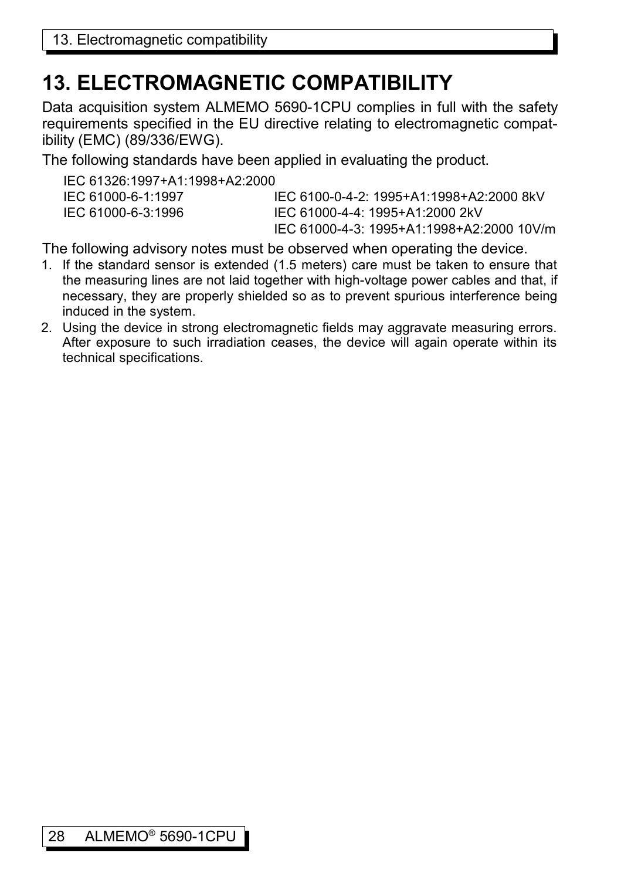# **13. ELECTROMAGNETIC COMPATIBILITY**

Data acquisition system ALMEMO 5690-1CPU complies in full with the safety requirements specified in the EU directive relating to electromagnetic compatibility (EMC) (89/336/EWG).

The following standards have been applied in evaluating the product.

| IFC 61326:1997+A1:1998+A2:2000 |                                           |
|--------------------------------|-------------------------------------------|
| IEC 61000-6-1:1997             | IEC 6100-0-4-2: 1995+A1:1998+A2:2000 8kV  |
| IEC 61000-6-3:1996             | IFC 61000-4-4: 1995+A1:2000 2kV           |
|                                | IEC 61000-4-3: 1995+A1:1998+A2:2000 10V/m |

The following advisory notes must be observed when operating the device.

- 1. If the standard sensor is extended (1.5 meters) care must be taken to ensure that the measuring lines are not laid together with high-voltage power cables and that, if necessary, they are properly shielded so as to prevent spurious interference being induced in the system.
- 2. Using the device in strong electromagnetic fields may aggravate measuring errors. After exposure to such irradiation ceases, the device will again operate within its technical specifications.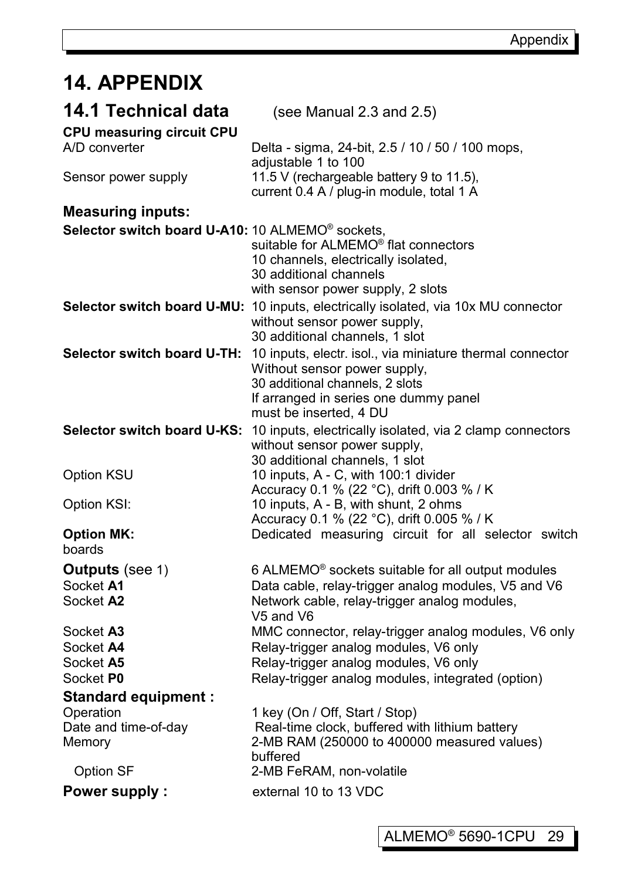# **14. APPENDIX**

| 14.1 Technical data<br>CPU measuring circuit CPU                          | (see Manual 2.3 and $2.5$ )                                                                                                                                                                     |
|---------------------------------------------------------------------------|-------------------------------------------------------------------------------------------------------------------------------------------------------------------------------------------------|
| A/D converter                                                             | Delta - sigma, 24-bit, 2.5 / 10 / 50 / 100 mops,<br>adjustable 1 to 100                                                                                                                         |
| Sensor power supply                                                       | 11.5 V (rechargeable battery 9 to 11.5),<br>current 0.4 A / plug-in module, total 1 A                                                                                                           |
| <b>Measuring inputs:</b>                                                  |                                                                                                                                                                                                 |
| Selector switch board U-A10: 10 ALMEMO® sockets,                          | suitable for ALMEMO® flat connectors<br>10 channels, electrically isolated,<br>30 additional channels<br>with sensor power supply, 2 slots                                                      |
|                                                                           | Selector switch board U-MU: 10 inputs, electrically isolated, via 10x MU connector<br>without sensor power supply,<br>30 additional channels, 1 slot                                            |
| Selector switch board U-TH:                                               | 10 inputs, electr. isol., via miniature thermal connector<br>Without sensor power supply,<br>30 additional channels, 2 slots<br>If arranged in series one dummy panel<br>must be inserted, 4 DU |
| Selector switch board U-KS:                                               | 10 inputs, electrically isolated, via 2 clamp connectors<br>without sensor power supply,<br>30 additional channels, 1 slot                                                                      |
| Option KSU                                                                | 10 inputs, A - C, with 100:1 divider<br>Accuracy 0.1 % (22 °C), drift 0.003 % / K                                                                                                               |
| Option KSI:                                                               | 10 inputs, A - B, with shunt, 2 ohms<br>Accuracy 0.1 % (22 °C), drift 0.005 % / K                                                                                                               |
| <b>Option MK:</b><br>boards                                               | Dedicated measuring circuit for all selector switch                                                                                                                                             |
| <b>Outputs</b> (see 1)                                                    | 6 ALMEMO <sup>®</sup> sockets suitable for all output modules                                                                                                                                   |
| Socket A1<br>Socket A2                                                    | Data cable, relay-trigger analog modules, V5 and V6<br>Network cable, relay-trigger analog modules,<br>V5 and V6                                                                                |
| Socket A3                                                                 | MMC connector, relay-trigger analog modules, V6 only                                                                                                                                            |
| Socket A4                                                                 | Relay-trigger analog modules, V6 only                                                                                                                                                           |
| Socket A5                                                                 | Relay-trigger analog modules, V6 only                                                                                                                                                           |
| Socket P0                                                                 | Relay-trigger analog modules, integrated (option)                                                                                                                                               |
| <b>Standard equipment:</b><br>Operation<br>Date and time-of-day<br>Memory | 1 key (On / Off, Start / Stop)<br>Real-time clock, buffered with lithium battery<br>2-MB RAM (250000 to 400000 measured values)                                                                 |
| Option SF                                                                 | buffered<br>2-MB FeRAM, non-volatile                                                                                                                                                            |
| <b>Power supply:</b>                                                      | external 10 to 13 VDC                                                                                                                                                                           |

ı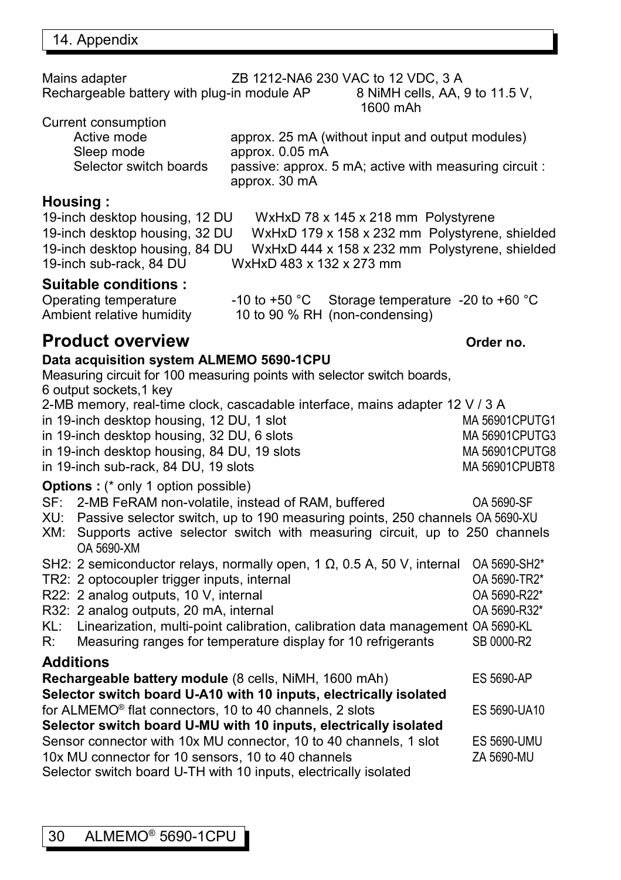Mains adapter <br>
Rechargeable battery with plug-in module AP 8 NiMH cells, AA, 9 to 11.5 V, Rechargeable battery with plug-in module AP 1600 mAh

Current consumption

| .                      |                                                                         |
|------------------------|-------------------------------------------------------------------------|
| Active mode            | approx. 25 mA (without input and output modules)                        |
| Sleep mode             | approx. 0.05 mA                                                         |
| Selector switch boards | passive: approx. 5 mA; active with measuring circuit :<br>approx. 30 mA |
|                        |                                                                         |

### **Housing :**

19-inch desktop housing, 12 DU WxHxD 78 x 145 x 218 mm Polystyrene 19-inch desktop housing, 32 DU WxHxD 179 x 158 x 232 mm Polystyrene, shielded 19-inch desktop housing, 84 DU WxHxD 444 x 158 x 232 mm Polystyrene, shielded 19-inch sub-rack, 84 DU WxHxD 483 x 132 x 273 mm

### **Suitable conditions :**

| Operating temperature     | $-10$ to $+50$ °C Storage temperature $-20$ to $+60$ °C |  |
|---------------------------|---------------------------------------------------------|--|
| Ambient relative humidity | 10 to 90 % RH (non-condensing)                          |  |

### **Product overview Order no. Order no. Order no.**

#### **Data acquisition system ALMEMO 5690-1CPU**

| Pata acquisition system AEMEMO 0000-TOI O                               |                                                                                              |                       |  |
|-------------------------------------------------------------------------|----------------------------------------------------------------------------------------------|-----------------------|--|
| Measuring circuit for 100 measuring points with selector switch boards, |                                                                                              |                       |  |
| 6 output sockets, 1 key                                                 |                                                                                              |                       |  |
|                                                                         | 2-MB memory, real-time clock, cascadable interface, mains adapter 12 V / 3 A                 |                       |  |
|                                                                         | in 19-inch desktop housing, 12 DU, 1 slot                                                    | MA 56901CPUTG1        |  |
|                                                                         | in 19-inch desktop housing, 32 DU, 6 slots                                                   | MA 56901CPUTG3        |  |
|                                                                         | in 19-inch desktop housing, 84 DU, 19 slots                                                  | <b>MA 56901CPUTG8</b> |  |
|                                                                         | in 19-inch sub-rack, 84 DU, 19 slots                                                         | MA 56901CPUBT8        |  |
|                                                                         | <b>Options:</b> (* only 1 option possible)                                                   |                       |  |
|                                                                         | SF: 2-MB FeRAM non-volatile, instead of RAM, buffered                                        | OA 5690-SF            |  |
|                                                                         | XU: Passive selector switch, up to 190 measuring points, 250 channels OA 5690-XU             |                       |  |
|                                                                         | XM: Supports active selector switch with measuring circuit, up to 250 channels<br>OA 5690-XM |                       |  |
|                                                                         | SH2: 2 semiconductor relays, normally open, 1 $\Omega$ , 0.5 A, 50 V, internal               | OA 5690-SH2*          |  |
|                                                                         | TR2: 2 optocoupler trigger inputs, internal                                                  | OA 5690-TR2*          |  |
|                                                                         | R22: 2 analog outputs, 10 V, internal                                                        | OA 5690-R22*          |  |
|                                                                         | R32: 2 analog outputs, 20 mA, internal                                                       | OA 5690-R32*          |  |
|                                                                         | KL: Linearization, multi-point calibration, calibration data management OA 5690-KL           |                       |  |
| R:                                                                      | Measuring ranges for temperature display for 10 refrigerants                                 | SB 0000-R2            |  |
|                                                                         | <b>Additions</b>                                                                             |                       |  |
| Rechargeable battery module (8 cells, NiMH, 1600 mAh)<br>ES 5690-AP     |                                                                                              |                       |  |
|                                                                         | Selector switch board U-A10 with 10 inputs, electrically isolated                            |                       |  |
|                                                                         | for ALMEMO <sup>®</sup> flat connectors, 10 to 40 channels, 2 slots                          | ES 5690-UA10          |  |
| Selector switch board U-MU with 10 inputs, electrically isolated        |                                                                                              |                       |  |
|                                                                         | Sensor connector with 10x MU connector, 10 to 40 channels, 1 slot                            | <b>ES 5690-UMU</b>    |  |
|                                                                         | 10x MU connector for 10 sensors, 10 to 40 channels                                           | ZA 5690-MU            |  |
|                                                                         | . an alberta de analoid de Thiopala (40 febrera de la calendara de la calendara d            |                       |  |

Selector switch board U-TH with 10 inputs, electrically isolated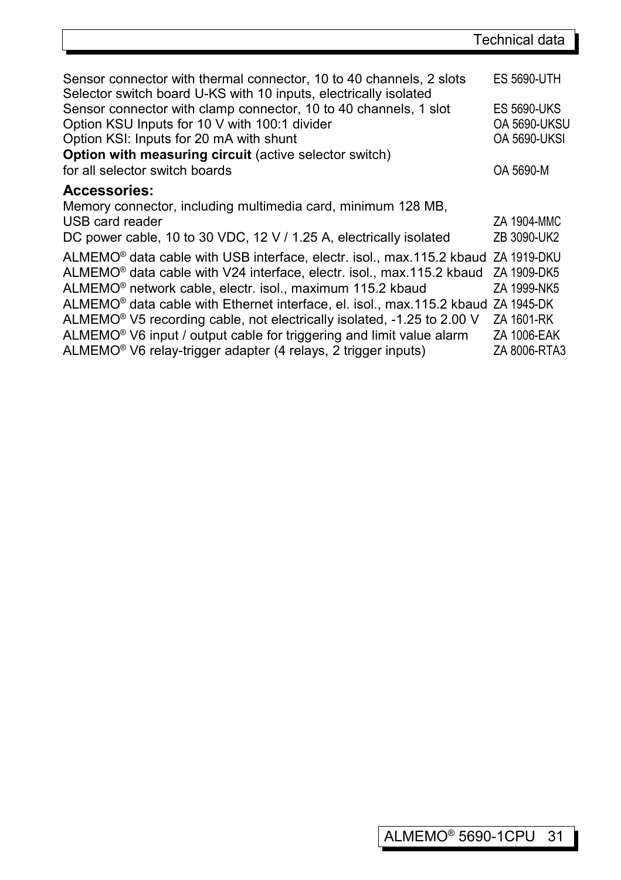| Sensor connector with thermal connector, 10 to 40 channels, 2 slots<br>Selector switch board U-KS with 10 inputs, electrically isolated | <b>ES 5690-UTH</b>  |
|-----------------------------------------------------------------------------------------------------------------------------------------|---------------------|
| Sensor connector with clamp connector, 10 to 40 channels, 1 slot                                                                        | <b>ES 5690-UKS</b>  |
| Option KSU Inputs for 10 V with 100:1 divider                                                                                           | <b>OA 5690-UKSU</b> |
| Option KSI: Inputs for 20 mA with shunt                                                                                                 | <b>OA 5690-UKSI</b> |
| <b>Option with measuring circuit (active selector switch)</b>                                                                           |                     |
| for all selector switch boards                                                                                                          | OA 5690-M           |
| <b>Accessories:</b>                                                                                                                     |                     |
| Memory connector, including multimedia card, minimum 128 MB,                                                                            |                     |
| USB card reader                                                                                                                         | ZA 1904-MMC         |
| DC power cable, 10 to 30 VDC, 12 V / 1.25 A, electrically isolated                                                                      | ZB 3090-UK2         |
| ALMEMO® data cable with USB interface, electr. isol., max.115.2 kbaud ZA 1919-DKU                                                       |                     |
| ALMEMO <sup>®</sup> data cable with V24 interface, electr. isol., max.115.2 kbaud                                                       | ZA 1909-DK5         |
| ALMEMO® network cable, electr. isol., maximum 115.2 kbaud                                                                               | ZA 1999-NK5         |
| ALMEMO® data cable with Ethernet interface, el. isol., max.115.2 kbaud ZA 1945-DK                                                       |                     |
| ALMEMO <sup>®</sup> V5 recording cable, not electrically isolated, -1.25 to 2.00 V                                                      | ZA 1601-RK          |
| ALMEMO <sup>®</sup> V6 input / output cable for triggering and limit value alarm                                                        | ZA 1006-EAK         |
| ALMEMO <sup>®</sup> V6 relay-trigger adapter (4 relays, 2 trigger inputs)                                                               | ZA 8006-RTA3        |

ı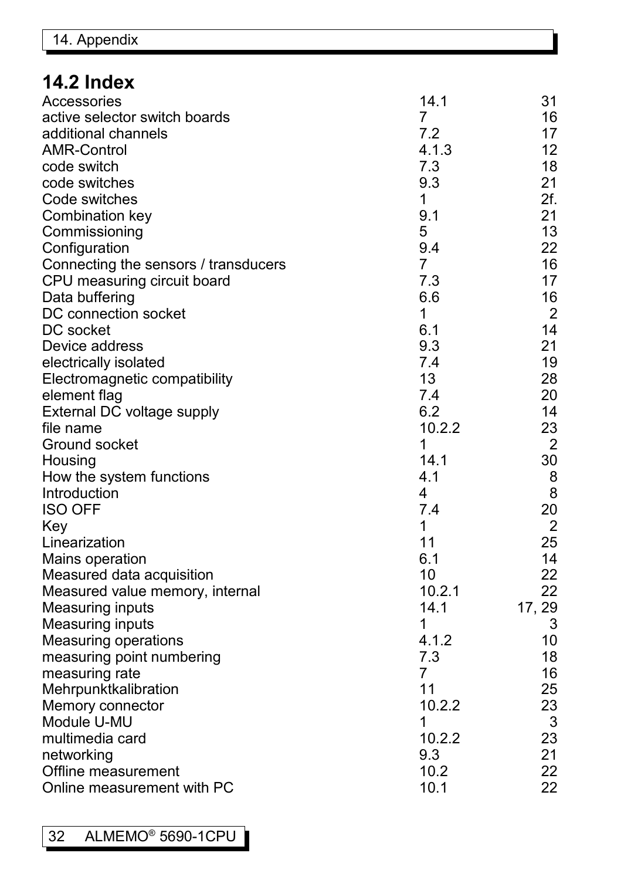# **14.2 Index**

| Accessories                          | 14.1           | 31             |
|--------------------------------------|----------------|----------------|
| active selector switch boards        | 7              | 16             |
| additional channels                  | 7.2            | 17             |
| <b>AMR-Control</b>                   | 4.1.3          | 12             |
| code switch                          | 7.3            | 18             |
| code switches                        | 9.3            | 21             |
| Code switches                        | 1              | 2f.            |
| Combination key                      | 9.1            | 21             |
| Commissioning                        | 5              | 13             |
| Configuration                        | 9.4            | 22             |
| Connecting the sensors / transducers | 7              | 16             |
| CPU measuring circuit board          | 7.3            | 17             |
| Data buffering                       | 6.6            | 16             |
| DC connection socket                 | 1              | $\overline{2}$ |
| DC socket                            | 6.1            | 14             |
| Device address                       | 9.3            | 21             |
| electrically isolated                | 7.4            | 19             |
| Electromagnetic compatibility        | 13             | 28             |
| element flag                         | 7.4            | 20             |
| External DC voltage supply           | 6.2            | 14             |
| file name                            | 10.2.2         | 23             |
| Ground socket                        | 1              | $\overline{2}$ |
| Housing                              | 14.1           | 30             |
| How the system functions             | 4.1            | 8              |
| Introduction                         | 4              | 8              |
| <b>ISO OFF</b>                       | 7.4            | 20             |
| Key                                  | 1              | $\overline{2}$ |
| Linearization                        | 11             | 25             |
| Mains operation                      | 6.1            | 14             |
| Measured data acquisition            | 10             | 22             |
| Measured value memory, internal      | 10.2.1         | 22             |
| <b>Measuring inputs</b>              | 14.1           | 17, 29         |
| <b>Measuring inputs</b>              | 1              | 3              |
| <b>Measuring operations</b>          | 4.1.2          | 10             |
| measuring point numbering            | 7.3            | 18             |
| measuring rate                       | $\overline{7}$ | 16             |
| Mehrpunktkalibration                 | 11             | 25             |
| Memory connector                     | 10.2.2         | 23             |
| Module U-MU                          | 1              | 3              |
| multimedia card                      | 10.2.2         | 23             |
| networking                           | 9.3            | 21             |
| Offline measurement                  | 10.2           | 22             |
| Online measurement with PC           | 10.1           | 22             |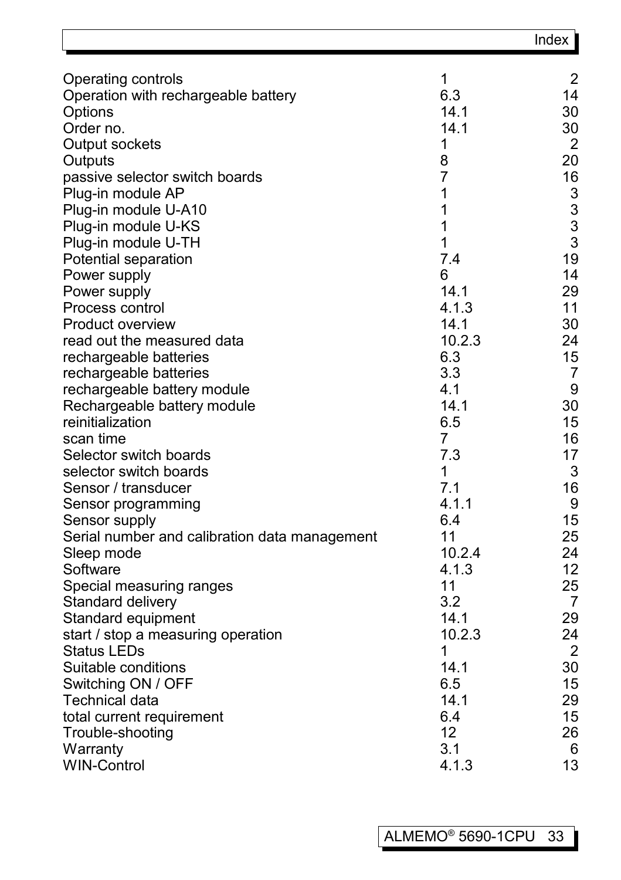|                                                          |                | Index                |
|----------------------------------------------------------|----------------|----------------------|
| Operating controls                                       | 1              | $\overline{2}$       |
| Operation with rechargeable battery                      | 6.3            | 14                   |
| Options                                                  | 14.1           | 30                   |
| Order no.                                                | 14.1           | 30                   |
| Output sockets                                           | 1              | $\overline{2}$       |
| Outputs                                                  | 8              | 20                   |
| passive selector switch boards                           | $\overline{7}$ | 16                   |
| Plug-in module AP                                        | 1              | 3                    |
| Plug-in module U-A10                                     | 1              | 3                    |
| Plug-in module U-KS                                      | 1              | 3                    |
| Plug-in module U-TH                                      | 1              | 3                    |
| Potential separation                                     | 7.4            | 19                   |
| Power supply                                             | 6              | 14                   |
| Power supply                                             | 14.1           | 29                   |
| Process control                                          | 4.1.3          | 11                   |
| Product overview                                         | 14.1           | 30                   |
| read out the measured data                               | 10.2.3         | 24                   |
| rechargeable batteries                                   | 6.3            | 15                   |
| rechargeable batteries                                   | 3.3            | 7                    |
| rechargeable battery module                              | 4.1            | 9                    |
| Rechargeable battery module                              | 14.1           | 30                   |
| reinitialization                                         | 6.5            | 15                   |
| scan time                                                | $\overline{7}$ | 16                   |
| Selector switch boards                                   | 7.3            | 17                   |
| selector switch boards                                   | 1              | 3                    |
| Sensor / transducer                                      | 7.1            | 16                   |
| Sensor programming                                       | 4.1.1          | 9                    |
| Sensor supply                                            | 6.4            | 15                   |
| Serial number and calibration data management            | 11             | 25                   |
| Sleep mode                                               | 10.2.4         | 24                   |
| Software                                                 | 4.1.3          | 12                   |
| Special measuring ranges                                 | 11             | 25                   |
| Standard delivery                                        | 3.2            | 7                    |
| Standard equipment                                       | 14.1           | 29                   |
| start / stop a measuring operation<br><b>Status LEDs</b> | 10.2.3<br>1    | 24<br>$\overline{2}$ |
|                                                          |                | 30                   |
| Suitable conditions                                      | 14.1<br>6.5    | 15                   |
| Switching ON / OFF                                       |                | 29                   |
| Technical data<br>total current requirement              | 14.1<br>6.4    | 15                   |
|                                                          | 12             | 26                   |
| Trouble-shooting<br>Warranty                             | 3.1            | 6                    |
| <b>WIN-Control</b>                                       | 4.1.3          | 13                   |
|                                                          |                |                      |

 $\mathbf{r}$ 

 $\overline{\mathbf{1}}$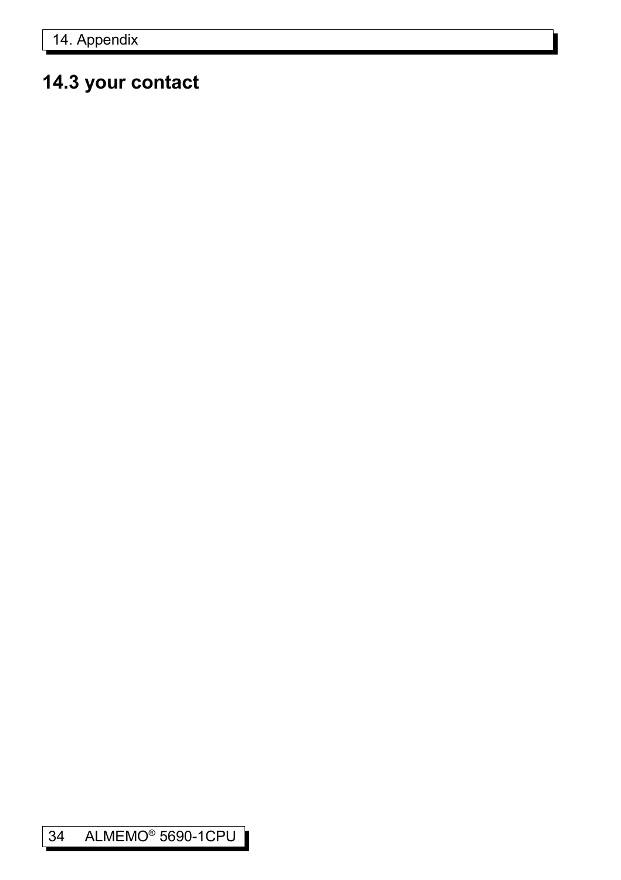# **14.3 your contact**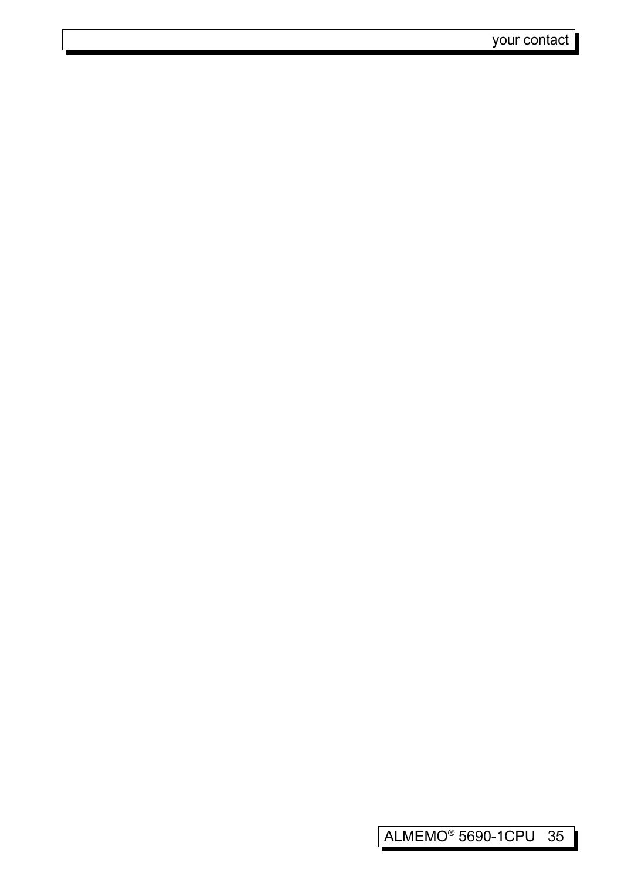I